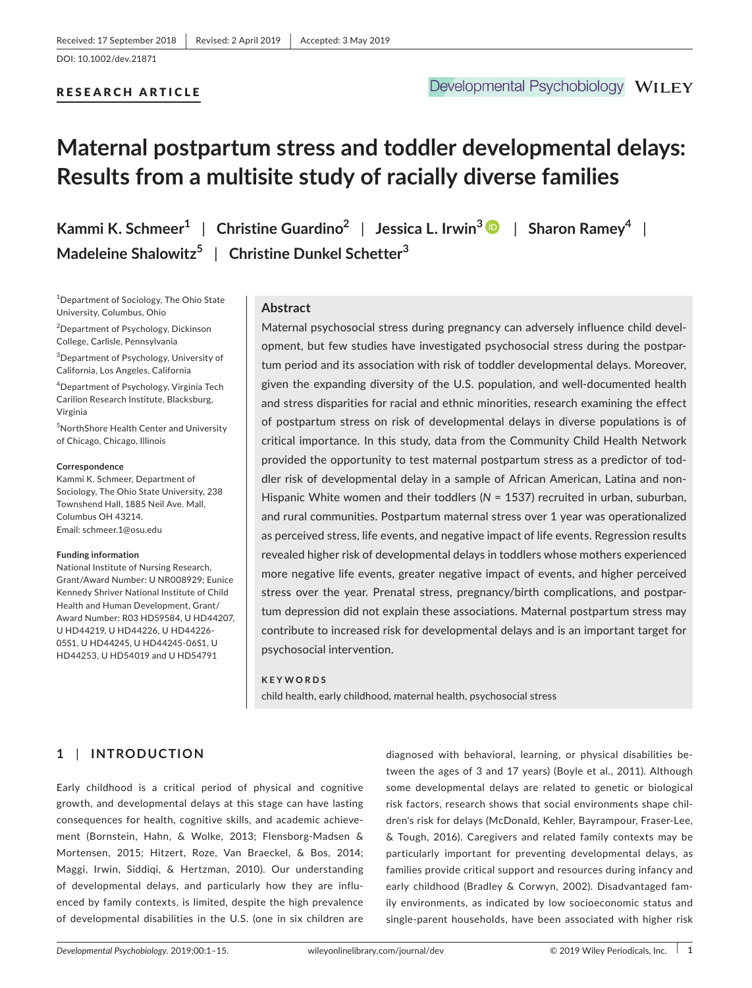## RESEARCH ARTICLE

# **Maternal postpartum stress and toddler developmental delays: Results from a multisite study of racially diverse families**

| Kammi K. Schmeer $^1\,$ $\mid\,$ Christine Guardino $^2\,$ $\mid\,$ Jessica L. Irwin $^3$ $\mid\,$ $\mid\,$ Sharon Ramey $^4\,$ $\mid\,$ |  |
|------------------------------------------------------------------------------------------------------------------------------------------|--|
| Madeleine Shalowitz $^5$   Christine Dunkel Schetter $^3$                                                                                |  |

1 Department of Sociology, The Ohio State University, Columbus, Ohio

<sup>2</sup>Department of Psychology, Dickinson College, Carlisle, Pennsylvania

3 Department of Psychology, University of California, Los Angeles, California

4 Department of Psychology, Virginia Tech Carilion Research Institute, Blacksburg, Virginia

5 NorthShore Health Center and University of Chicago, Chicago, Illinois

#### **Correspondence**

Kammi K. Schmeer, Department of Sociology, The Ohio State University, 238 Townshend Hall, 1885 Neil Ave. Mall, Columbus OH 43214. Email: [schmeer.1@osu.edu](mailto:schmeer.1@osu.edu)

#### **Funding information**

National Institute of Nursing Research, Grant/Award Number: U NR008929; Eunice Kennedy Shriver National Institute of Child Health and Human Development, Grant/ Award Number: R03 HD59584, U HD44207, U HD44219, U HD44226, U HD44226-05S1, U HD44245, U HD44245-06S1, U HD44253, U HD54019 and U HD54791

# **Abstract**

Maternal psychosocial stress during pregnancy can adversely influence child devel‐ opment, but few studies have investigated psychosocial stress during the postpar‐ tum period and its association with risk of toddler developmental delays. Moreover, given the expanding diversity of the U.S. population, and well-documented health and stress disparities for racial and ethnic minorities, research examining the effect of postpartum stress on risk of developmental delays in diverse populations is of critical importance. In this study, data from the Community Child Health Network provided the opportunity to test maternal postpartum stress as a predictor of tod‐ dler risk of developmental delay in a sample of African American, Latina and non‐ Hispanic White women and their toddlers (*N* = 1537) recruited in urban, suburban, and rural communities. Postpartum maternal stress over 1 year was operationalized as perceived stress, life events, and negative impact of life events. Regression results revealed higher risk of developmental delays in toddlers whose mothers experienced more negative life events, greater negative impact of events, and higher perceived stress over the year. Prenatal stress, pregnancy/birth complications, and postpar‐ tum depression did not explain these associations. Maternal postpartum stress may contribute to increased risk for developmental delays and is an important target for psychosocial intervention.

#### **KEYWORDS**

child health, early childhood, maternal health, psychosocial stress

# **1** | **INTRODUCTION**

Early childhood is a critical period of physical and cognitive growth, and developmental delays at this stage can have lasting consequences for health, cognitive skills, and academic achieve‐ ment (Bornstein, Hahn, & Wolke, 2013; Flensborg‐Madsen & Mortensen, 2015; Hitzert, Roze, Van Braeckel, & Bos, 2014; Maggi, Irwin, Siddiqi, & Hertzman, 2010). Our understanding of developmental delays, and particularly how they are influ‐ enced by family contexts, is limited, despite the high prevalence of developmental disabilities in the U.S. (one in six children are

diagnosed with behavioral, learning, or physical disabilities be‐ tween the ages of 3 and 17 years) (Boyle et al., 2011). Although some developmental delays are related to genetic or biological risk factors, research shows that social environments shape chil‐ dren's risk for delays (McDonald, Kehler, Bayrampour, Fraser‐Lee, & Tough, 2016). Caregivers and related family contexts may be particularly important for preventing developmental delays, as families provide critical support and resources during infancy and early childhood (Bradley & Corwyn, 2002). Disadvantaged fam‐ ily environments, as indicated by low socioeconomic status and single‐parent households, have been associated with higher risk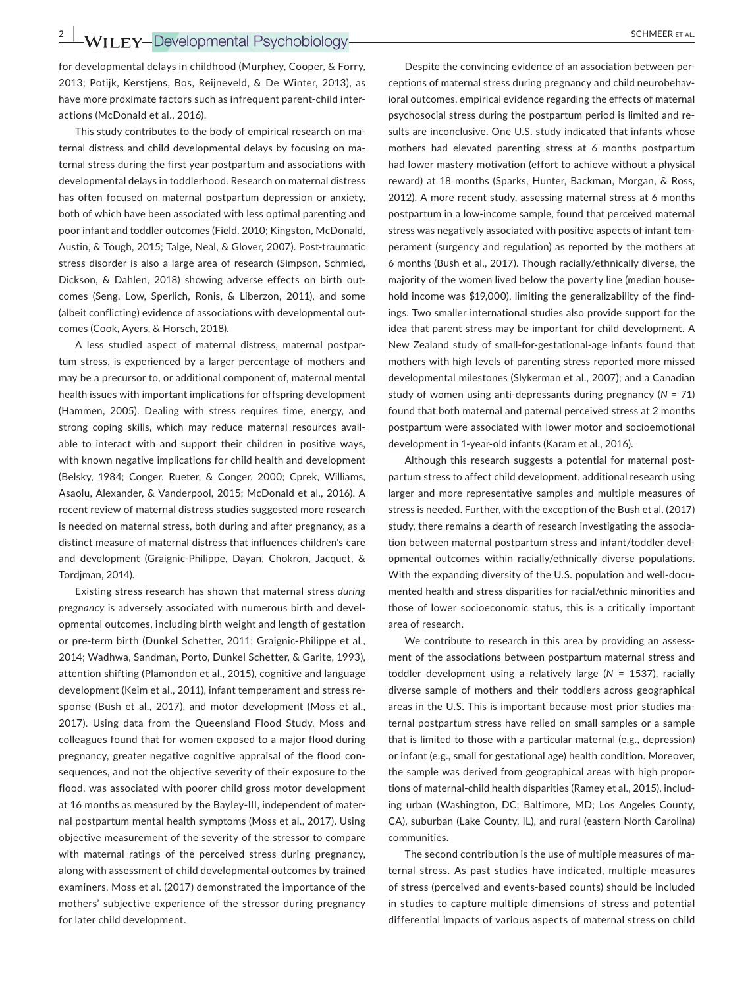**2**  $\frac{2}{\sqrt{15}}$  **WII** FY-Developmental Psychobiology **CONFER ET AL.** 

for developmental delays in childhood (Murphey, Cooper, & Forry, 2013; Potijk, Kerstjens, Bos, Reijneveld, & De Winter, 2013), as have more proximate factors such as infrequent parent-child interactions (McDonald et al., 2016).

This study contributes to the body of empirical research on ma‐ ternal distress and child developmental delays by focusing on ma‐ ternal stress during the first year postpartum and associations with developmental delays in toddlerhood. Research on maternal distress has often focused on maternal postpartum depression or anxiety, both of which have been associated with less optimal parenting and poor infant and toddler outcomes (Field, 2010; Kingston, McDonald, Austin, & Tough, 2015; Talge, Neal, & Glover, 2007). Post-traumatic stress disorder is also a large area of research (Simpson, Schmied, Dickson, & Dahlen, 2018) showing adverse effects on birth out‐ comes (Seng, Low, Sperlich, Ronis, & Liberzon, 2011), and some (albeit conflicting) evidence of associations with developmental out‐ comes (Cook, Ayers, & Horsch, 2018).

A less studied aspect of maternal distress, maternal postpar‐ tum stress, is experienced by a larger percentage of mothers and may be a precursor to, or additional component of, maternal mental health issues with important implications for offspring development (Hammen, 2005). Dealing with stress requires time, energy, and strong coping skills, which may reduce maternal resources avail‐ able to interact with and support their children in positive ways, with known negative implications for child health and development (Belsky, 1984; Conger, Rueter, & Conger, 2000; Cprek, Williams, Asaolu, Alexander, & Vanderpool, 2015; McDonald et al., 2016). A recent review of maternal distress studies suggested more research is needed on maternal stress, both during and after pregnancy, as a distinct measure of maternal distress that influences children's care and development (Graignic‐Philippe, Dayan, Chokron, Jacquet, & Tordjman, 2014).

Existing stress research has shown that maternal stress *during pregnancy* is adversely associated with numerous birth and devel‐ opmental outcomes, including birth weight and length of gestation or pre‐term birth (Dunkel Schetter, 2011; Graignic‐Philippe et al., 2014; Wadhwa, Sandman, Porto, Dunkel Schetter, & Garite, 1993), attention shifting (Plamondon et al., 2015), cognitive and language development (Keim et al., 2011), infant temperament and stress re‐ sponse (Bush et al., 2017), and motor development (Moss et al., 2017). Using data from the Queensland Flood Study, Moss and colleagues found that for women exposed to a major flood during pregnancy, greater negative cognitive appraisal of the flood con‐ sequences, and not the objective severity of their exposure to the flood, was associated with poorer child gross motor development at 16 months as measured by the Bayley‐III, independent of mater‐ nal postpartum mental health symptoms (Moss et al., 2017). Using objective measurement of the severity of the stressor to compare with maternal ratings of the perceived stress during pregnancy, along with assessment of child developmental outcomes by trained examiners, Moss et al. (2017) demonstrated the importance of the mothers' subjective experience of the stressor during pregnancy for later child development.

Despite the convincing evidence of an association between per‐ ceptions of maternal stress during pregnancy and child neurobehavioral outcomes, empirical evidence regarding the effects of maternal psychosocial stress during the postpartum period is limited and re‐ sults are inconclusive. One U.S. study indicated that infants whose mothers had elevated parenting stress at 6 months postpartum had lower mastery motivation (effort to achieve without a physical reward) at 18 months (Sparks, Hunter, Backman, Morgan, & Ross, 2012). A more recent study, assessing maternal stress at 6 months postpartum in a low‐income sample, found that perceived maternal stress was negatively associated with positive aspects of infant tem‐ perament (surgency and regulation) as reported by the mothers at 6 months (Bush et al., 2017). Though racially/ethnically diverse, the majority of the women lived below the poverty line (median house‐ hold income was \$19,000), limiting the generalizability of the findings. Two smaller international studies also provide support for the idea that parent stress may be important for child development. A New Zealand study of small‐for‐gestational‐age infants found that mothers with high levels of parenting stress reported more missed developmental milestones (Slykerman et al., 2007); and a Canadian study of women using anti‐depressants during pregnancy (*N* = 71) found that both maternal and paternal perceived stress at 2 months postpartum were associated with lower motor and socioemotional development in 1‐year‐old infants (Karam et al., 2016).

Although this research suggests a potential for maternal postpartum stress to affect child development, additional research using larger and more representative samples and multiple measures of stress is needed. Further, with the exception of the Bush et al. (2017) study, there remains a dearth of research investigating the associa‐ tion between maternal postpartum stress and infant/toddler devel‐ opmental outcomes within racially/ethnically diverse populations. With the expanding diversity of the U.S. population and well‐docu‐ mented health and stress disparities for racial/ethnic minorities and those of lower socioeconomic status, this is a critically important area of research.

We contribute to research in this area by providing an assessment of the associations between postpartum maternal stress and toddler development using a relatively large (*N* = 1537), racially diverse sample of mothers and their toddlers across geographical areas in the U.S. This is important because most prior studies ma‐ ternal postpartum stress have relied on small samples or a sample that is limited to those with a particular maternal (e.g., depression) or infant (e.g., small for gestational age) health condition. Moreover, the sample was derived from geographical areas with high propor‐ tions of maternal‐child health disparities (Ramey et al., 2015), includ‐ ing urban (Washington, DC; Baltimore, MD; Los Angeles County, CA), suburban (Lake County, IL), and rural (eastern North Carolina) communities.

The second contribution is the use of multiple measures of ma‐ ternal stress. As past studies have indicated, multiple measures of stress (perceived and events‐based counts) should be included in studies to capture multiple dimensions of stress and potential differential impacts of various aspects of maternal stress on child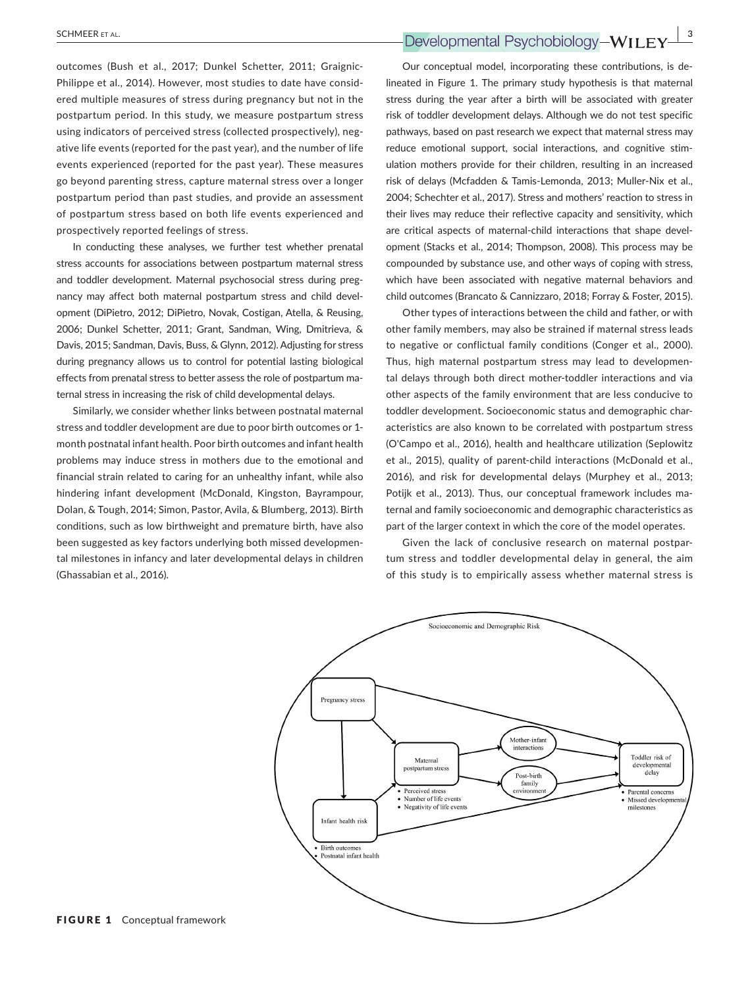outcomes (Bush et al., 2017; Dunkel Schetter, 2011; Graignic‐ Philippe et al., 2014). However, most studies to date have consid‐ ered multiple measures of stress during pregnancy but not in the postpartum period. In this study, we measure postpartum stress using indicators of perceived stress (collected prospectively), neg‐ ative life events (reported for the past year), and the number of life events experienced (reported for the past year). These measures go beyond parenting stress, capture maternal stress over a longer postpartum period than past studies, and provide an assessment of postpartum stress based on both life events experienced and prospectively reported feelings of stress.

In conducting these analyses, we further test whether prenatal stress accounts for associations between postpartum maternal stress and toddler development. Maternal psychosocial stress during pregnancy may affect both maternal postpartum stress and child devel‐ opment (DiPietro, 2012; DiPietro, Novak, Costigan, Atella, & Reusing, 2006; Dunkel Schetter, 2011; Grant, Sandman, Wing, Dmitrieva, & Davis, 2015; Sandman, Davis, Buss, & Glynn, 2012). Adjusting for stress during pregnancy allows us to control for potential lasting biological effects from prenatal stress to better assess the role of postpartum ma‐ ternal stress in increasing the risk of child developmental delays.

Similarly, we consider whether links between postnatal maternal stress and toddler development are due to poor birth outcomes or 1‐ month postnatal infant health. Poor birth outcomes and infant health problems may induce stress in mothers due to the emotional and financial strain related to caring for an unhealthy infant, while also hindering infant development (McDonald, Kingston, Bayrampour, Dolan, & Tough, 2014; Simon, Pastor, Avila, & Blumberg, 2013). Birth conditions, such as low birthweight and premature birth, have also been suggested as key factors underlying both missed developmen‐ tal milestones in infancy and later developmental delays in children (Ghassabian et al., 2016).

Our conceptual model, incorporating these contributions, is de‐ lineated in Figure 1. The primary study hypothesis is that maternal stress during the year after a birth will be associated with greater risk of toddler development delays. Although we do not test specific pathways, based on past research we expect that maternal stress may reduce emotional support, social interactions, and cognitive stim‐ ulation mothers provide for their children, resulting in an increased risk of delays (Mcfadden & Tamis‐Lemonda, 2013; Muller‐Nix et al., 2004; Schechter et al., 2017). Stress and mothers' reaction to stress in their lives may reduce their reflective capacity and sensitivity, which are critical aspects of maternal‐child interactions that shape devel‐ opment (Stacks et al., 2014; Thompson, 2008). This process may be compounded by substance use, and other ways of coping with stress, which have been associated with negative maternal behaviors and child outcomes (Brancato & Cannizzaro, 2018; Forray & Foster, 2015).

Other types of interactions between the child and father, or with other family members, may also be strained if maternal stress leads to negative or conflictual family conditions (Conger et al., 2000). Thus, high maternal postpartum stress may lead to developmen‐ tal delays through both direct mother‐toddler interactions and via other aspects of the family environment that are less conducive to toddler development. Socioeconomic status and demographic char‐ acteristics are also known to be correlated with postpartum stress (O'Campo et al., 2016), health and healthcare utilization (Seplowitz et al., 2015), quality of parent-child interactions (McDonald et al., 2016), and risk for developmental delays (Murphey et al., 2013; Potijk et al., 2013). Thus, our conceptual framework includes ma‐ ternal and family socioeconomic and demographic characteristics as part of the larger context in which the core of the model operates.

Given the lack of conclusive research on maternal postpar‐ tum stress and toddler developmental delay in general, the aim of this study is to empirically assess whether maternal stress is

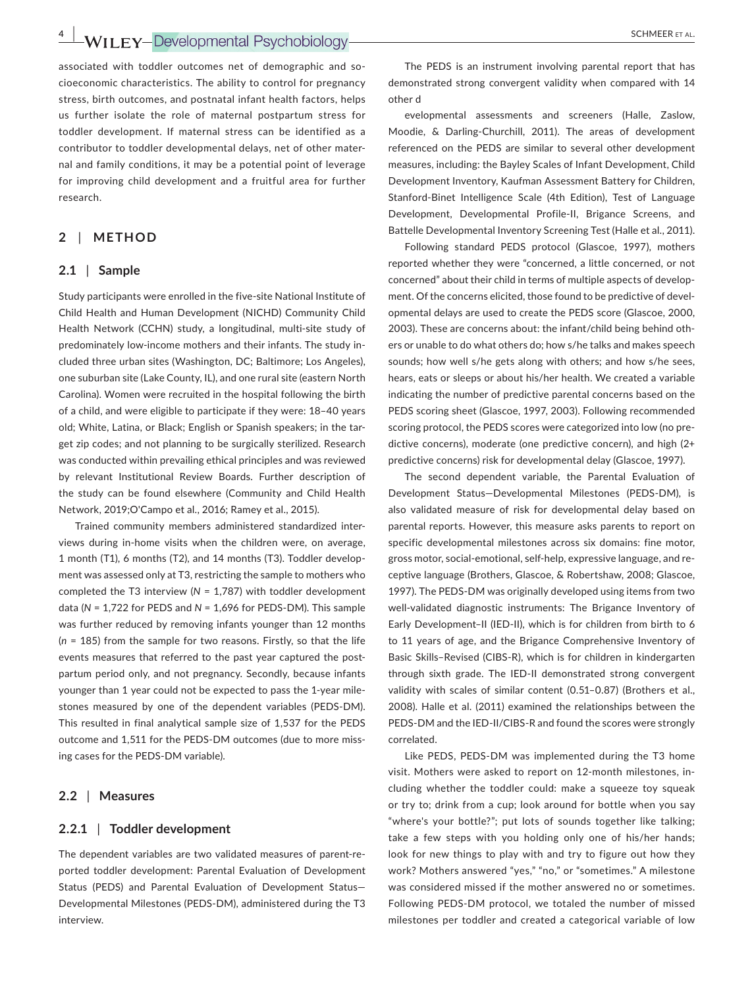**4**  $\frac{4}{\sqrt{5}}$  **WII** FY-Developmental Psychobiology **SCHMEER ET AL.** 

associated with toddler outcomes net of demographic and socioeconomic characteristics. The ability to control for pregnancy stress, birth outcomes, and postnatal infant health factors, helps us further isolate the role of maternal postpartum stress for toddler development. If maternal stress can be identified as a contributor to toddler developmental delays, net of other mater‐ nal and family conditions, it may be a potential point of leverage for improving child development and a fruitful area for further research.

### **2** | **METHOD**

#### **2.1** | **Sample**

Study participants were enrolled in the five‐site National Institute of Child Health and Human Development (NICHD) Community Child Health Network (CCHN) study, a longitudinal, multi‐site study of predominately low-income mothers and their infants. The study included three urban sites (Washington, DC; Baltimore; Los Angeles), one suburban site (Lake County, IL), and one rural site (eastern North Carolina). Women were recruited in the hospital following the birth of a child, and were eligible to participate if they were: 18–40 years old; White, Latina, or Black; English or Spanish speakers; in the tar‐ get zip codes; and not planning to be surgically sterilized. Research was conducted within prevailing ethical principles and was reviewed by relevant Institutional Review Boards. Further description of the study can be found elsewhere (Community and Child Health Network, 2019;O'Campo et al., 2016; Ramey et al., 2015).

Trained community members administered standardized inter‐ views during in‐home visits when the children were, on average, 1 month (T1), 6 months (T2), and 14 months (T3). Toddler develop‐ ment was assessed only at T3, restricting the sample to mothers who completed the T3 interview (*N* = 1,787) with toddler development data (*N* = 1,722 for PEDS and *N* = 1,696 for PEDS‐DM). This sample was further reduced by removing infants younger than 12 months (*n* = 185) from the sample for two reasons. Firstly, so that the life events measures that referred to the past year captured the postpartum period only, and not pregnancy. Secondly, because infants younger than 1 year could not be expected to pass the 1‐year mile‐ stones measured by one of the dependent variables (PEDS‐DM). This resulted in final analytical sample size of 1,537 for the PEDS outcome and 1,511 for the PEDS‐DM outcomes (due to more miss‐ ing cases for the PEDS‐DM variable).

#### **2.2** | **Measures**

#### **2.2.1** | **Toddler development**

The dependent variables are two validated measures of parent‐re‐ ported toddler development: Parental Evaluation of Development Status (PEDS) and Parental Evaluation of Development Status— Developmental Milestones (PEDS‐DM), administered during the T3 interview.

The PEDS is an instrument involving parental report that has demonstrated strong convergent validity when compared with 14 other d

evelopmental assessments and screeners (Halle, Zaslow, Moodie, & Darling‐Churchill, 2011). The areas of development referenced on the PEDS are similar to several other development measures, including: the Bayley Scales of Infant Development, Child Development Inventory, Kaufman Assessment Battery for Children, Stanford‐Binet Intelligence Scale (4th Edition), Test of Language Development, Developmental Profile‐II, Brigance Screens, and Battelle Developmental Inventory Screening Test (Halle et al., 2011).

Following standard PEDS protocol (Glascoe, 1997), mothers reported whether they were "concerned, a little concerned, or not concerned" about their child in terms of multiple aspects of develop‐ ment. Of the concerns elicited, those found to be predictive of devel‐ opmental delays are used to create the PEDS score (Glascoe, 2000, 2003). These are concerns about: the infant/child being behind oth‐ ers or unable to do what others do; how s/he talks and makes speech sounds; how well s/he gets along with others; and how s/he sees, hears, eats or sleeps or about his/her health. We created a variable indicating the number of predictive parental concerns based on the PEDS scoring sheet (Glascoe, 1997, 2003). Following recommended scoring protocol, the PEDS scores were categorized into low (no pre‐ dictive concerns), moderate (one predictive concern), and high (2+ predictive concerns) risk for developmental delay (Glascoe, 1997).

The second dependent variable, the Parental Evaluation of Development Status—Developmental Milestones (PEDS‐DM), is also validated measure of risk for developmental delay based on parental reports. However, this measure asks parents to report on specific developmental milestones across six domains: fine motor, gross motor, social‐emotional, self‐help, expressive language, and re‐ ceptive language (Brothers, Glascoe, & Robertshaw, 2008; Glascoe, 1997). The PEDS‐DM was originally developed using items from two well-validated diagnostic instruments: The Brigance Inventory of Early Development-II (IED-II), which is for children from birth to 6 to 11 years of age, and the Brigance Comprehensive Inventory of Basic Skills–Revised (CIBS‐R), which is for children in kindergarten through sixth grade. The IED‐II demonstrated strong convergent validity with scales of similar content (0.51–0.87) (Brothers et al., 2008). Halle et al. (2011) examined the relationships between the PEDS‐DM and the IED‐II/CIBS‐R and found the scores were strongly correlated.

Like PEDS, PEDS‐DM was implemented during the T3 home visit. Mothers were asked to report on 12‐month milestones, in‐ cluding whether the toddler could: make a squeeze toy squeak or try to; drink from a cup; look around for bottle when you say "where's your bottle?"; put lots of sounds together like talking; take a few steps with you holding only one of his/her hands; look for new things to play with and try to figure out how they work? Mothers answered "yes," "no," or "sometimes." A milestone was considered missed if the mother answered no or sometimes. Following PEDS‐DM protocol, we totaled the number of missed milestones per toddler and created a categorical variable of low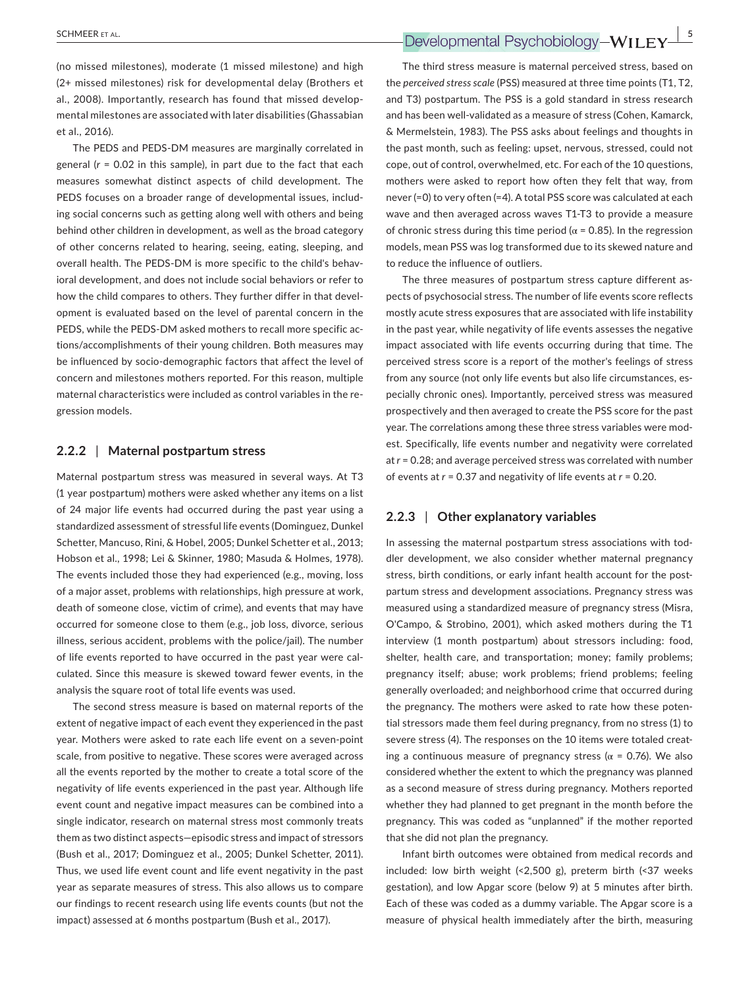(no missed milestones), moderate (1 missed milestone) and high (2+ missed milestones) risk for developmental delay (Brothers et al., 2008). Importantly, research has found that missed develop‐ mental milestones are associated with later disabilities (Ghassabian et al., 2016).

The PEDS and PEDS‐DM measures are marginally correlated in general (*r* = 0.02 in this sample), in part due to the fact that each measures somewhat distinct aspects of child development. The PEDS focuses on a broader range of developmental issues, includ‐ ing social concerns such as getting along well with others and being behind other children in development, as well as the broad category of other concerns related to hearing, seeing, eating, sleeping, and overall health. The PEDS‐DM is more specific to the child's behav‐ ioral development, and does not include social behaviors or refer to how the child compares to others. They further differ in that development is evaluated based on the level of parental concern in the PEDS, while the PEDS‐DM asked mothers to recall more specific ac‐ tions/accomplishments of their young children. Both measures may be influenced by socio‐demographic factors that affect the level of concern and milestones mothers reported. For this reason, multiple maternal characteristics were included as control variables in the re‐ gression models.

#### **2.2.2** | **Maternal postpartum stress**

Maternal postpartum stress was measured in several ways. At T3 (1 year postpartum) mothers were asked whether any items on a list of 24 major life events had occurred during the past year using a standardized assessment of stressful life events (Dominguez, Dunkel Schetter, Mancuso, Rini, & Hobel, 2005; Dunkel Schetter et al., 2013; Hobson et al., 1998; Lei & Skinner, 1980; Masuda & Holmes, 1978). The events included those they had experienced (e.g., moving, loss of a major asset, problems with relationships, high pressure at work, death of someone close, victim of crime), and events that may have occurred for someone close to them (e.g., job loss, divorce, serious illness, serious accident, problems with the police/jail). The number of life events reported to have occurred in the past year were cal‐ culated. Since this measure is skewed toward fewer events, in the analysis the square root of total life events was used.

The second stress measure is based on maternal reports of the extent of negative impact of each event they experienced in the past year. Mothers were asked to rate each life event on a seven‐point scale, from positive to negative. These scores were averaged across all the events reported by the mother to create a total score of the negativity of life events experienced in the past year. Although life event count and negative impact measures can be combined into a single indicator, research on maternal stress most commonly treats them as two distinct aspects—episodic stress and impact of stressors (Bush et al., 2017; Dominguez et al., 2005; Dunkel Schetter, 2011). Thus, we used life event count and life event negativity in the past year as separate measures of stress. This also allows us to compare our findings to recent research using life events counts (but not the impact) assessed at 6 months postpartum (Bush et al., 2017).

The third stress measure is maternal perceived stress, based on the *perceived stress scale* (PSS) measured at three time points (T1, T2, and T3) postpartum. The PSS is a gold standard in stress research and has been well-validated as a measure of stress (Cohen, Kamarck, & Mermelstein, 1983). The PSS asks about feelings and thoughts in the past month, such as feeling: upset, nervous, stressed, could not cope, out of control, overwhelmed, etc. For each of the 10 questions, mothers were asked to report how often they felt that way, from never (=0) to very often (=4). A total PSS score was calculated at each wave and then averaged across waves T1-T3 to provide a measure of chronic stress during this time period ( $\alpha$  = 0.85). In the regression models, mean PSS was log transformed due to its skewed nature and to reduce the influence of outliers.

The three measures of postpartum stress capture different as‐ pects of psychosocial stress. The number of life events score reflects mostly acute stress exposures that are associated with life instability in the past year, while negativity of life events assesses the negative impact associated with life events occurring during that time. The perceived stress score is a report of the mother's feelings of stress from any source (not only life events but also life circumstances, es‐ pecially chronic ones). Importantly, perceived stress was measured prospectively and then averaged to create the PSS score for the past year. The correlations among these three stress variables were mod‐ est. Specifically, life events number and negativity were correlated at *r* = 0.28; and average perceived stress was correlated with number of events at *r* = 0.37 and negativity of life events at *r* = 0.20.

#### **2.2.3** | **Other explanatory variables**

In assessing the maternal postpartum stress associations with tod‐ dler development, we also consider whether maternal pregnancy stress, birth conditions, or early infant health account for the postpartum stress and development associations. Pregnancy stress was measured using a standardized measure of pregnancy stress (Misra, O'Campo, & Strobino, 2001), which asked mothers during the T1 interview (1 month postpartum) about stressors including: food, shelter, health care, and transportation; money; family problems; pregnancy itself; abuse; work problems; friend problems; feeling generally overloaded; and neighborhood crime that occurred during the pregnancy. The mothers were asked to rate how these poten‐ tial stressors made them feel during pregnancy, from no stress (1) to severe stress (4). The responses on the 10 items were totaled creating a continuous measure of pregnancy stress ( $\alpha$  = 0.76). We also considered whether the extent to which the pregnancy was planned as a second measure of stress during pregnancy. Mothers reported whether they had planned to get pregnant in the month before the pregnancy. This was coded as "unplanned" if the mother reported that she did not plan the pregnancy.

Infant birth outcomes were obtained from medical records and included: low birth weight (<2,500 g), preterm birth (<37 weeks gestation), and low Apgar score (below 9) at 5 minutes after birth. Each of these was coded as a dummy variable. The Apgar score is a measure of physical health immediately after the birth, measuring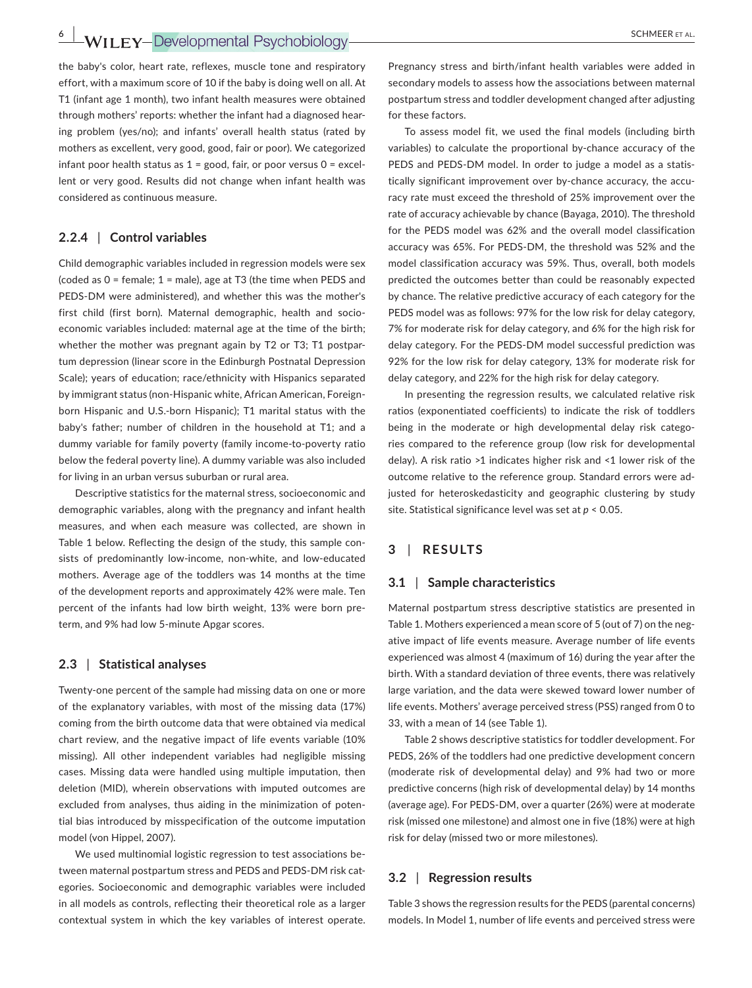**6 | WILEY-Developmental Psychobiology** *SCHMEER ET AL.* 

the baby's color, heart rate, reflexes, muscle tone and respiratory effort, with a maximum score of 10 if the baby is doing well on all. At T1 (infant age 1 month), two infant health measures were obtained through mothers' reports: whether the infant had a diagnosed hear‐ ing problem (yes/no); and infants' overall health status (rated by mothers as excellent, very good, good, fair or poor). We categorized infant poor health status as  $1 = \text{good}$ , fair, or poor versus  $0 = \text{excel}$ lent or very good. Results did not change when infant health was considered as continuous measure.

#### **2.2.4** | **Control variables**

Child demographic variables included in regression models were sex (coded as 0 = female; 1 = male), age at T3 (the time when PEDS and PEDS‐DM were administered), and whether this was the mother's first child (first born). Maternal demographic, health and socioeconomic variables included: maternal age at the time of the birth; whether the mother was pregnant again by T2 or T3; T1 postpartum depression (linear score in the Edinburgh Postnatal Depression Scale); years of education; race/ethnicity with Hispanics separated by immigrant status (non-Hispanic white, African American, Foreignborn Hispanic and U.S.‐born Hispanic); T1 marital status with the baby's father; number of children in the household at T1; and a dummy variable for family poverty (family income‐to‐poverty ratio below the federal poverty line). A dummy variable was also included for living in an urban versus suburban or rural area.

Descriptive statistics for the maternal stress, socioeconomic and demographic variables, along with the pregnancy and infant health measures, and when each measure was collected, are shown in Table 1 below. Reflecting the design of the study, this sample con‐ sists of predominantly low-income, non-white, and low-educated mothers. Average age of the toddlers was 14 months at the time of the development reports and approximately 42% were male. Ten percent of the infants had low birth weight, 13% were born pre‐ term, and 9% had low 5‐minute Apgar scores.

#### **2.3** | **Statistical analyses**

Twenty‐one percent of the sample had missing data on one or more of the explanatory variables, with most of the missing data (17%) coming from the birth outcome data that were obtained via medical chart review, and the negative impact of life events variable (10% missing). All other independent variables had negligible missing cases. Missing data were handled using multiple imputation, then deletion (MID), wherein observations with imputed outcomes are excluded from analyses, thus aiding in the minimization of poten‐ tial bias introduced by misspecification of the outcome imputation model (von Hippel, 2007).

We used multinomial logistic regression to test associations be‐ tween maternal postpartum stress and PEDS and PEDS‐DM risk cat‐ egories. Socioeconomic and demographic variables were included in all models as controls, reflecting their theoretical role as a larger contextual system in which the key variables of interest operate.

Pregnancy stress and birth/infant health variables were added in secondary models to assess how the associations between maternal postpartum stress and toddler development changed after adjusting for these factors.

To assess model fit, we used the final models (including birth variables) to calculate the proportional by-chance accuracy of the PEDS and PEDS‐DM model. In order to judge a model as a statis‐ tically significant improvement over by‐chance accuracy, the accu‐ racy rate must exceed the threshold of 25% improvement over the rate of accuracy achievable by chance (Bayaga, 2010). The threshold for the PEDS model was 62% and the overall model classification accuracy was 65%. For PEDS‐DM, the threshold was 52% and the model classification accuracy was 59%. Thus, overall, both models predicted the outcomes better than could be reasonably expected by chance. The relative predictive accuracy of each category for the PEDS model was as follows: 97% for the low risk for delay category, 7% for moderate risk for delay category, and 6% for the high risk for delay category. For the PEDS‐DM model successful prediction was 92% for the low risk for delay category, 13% for moderate risk for delay category, and 22% for the high risk for delay category.

In presenting the regression results, we calculated relative risk ratios (exponentiated coefficients) to indicate the risk of toddlers being in the moderate or high developmental delay risk categories compared to the reference group (low risk for developmental delay). A risk ratio >1 indicates higher risk and <1 lower risk of the outcome relative to the reference group. Standard errors were ad‐ justed for heteroskedasticity and geographic clustering by study site. Statistical significance level was set at *p* < 0.05.

# **3** | **RESULTS**

#### **3.1** | **Sample characteristics**

Maternal postpartum stress descriptive statistics are presented in Table 1. Mothers experienced a mean score of 5 (out of 7) on the neg‐ ative impact of life events measure. Average number of life events experienced was almost 4 (maximum of 16) during the year after the birth. With a standard deviation of three events, there was relatively large variation, and the data were skewed toward lower number of life events. Mothers' average perceived stress (PSS) ranged from 0 to 33, with a mean of 14 (see Table 1).

Table 2 shows descriptive statistics for toddler development. For PEDS, 26% of the toddlers had one predictive development concern (moderate risk of developmental delay) and 9% had two or more predictive concerns (high risk of developmental delay) by 14 months (average age). For PEDS‐DM, over a quarter (26%) were at moderate risk (missed one milestone) and almost one in five (18%) were at high risk for delay (missed two or more milestones).

#### **3.2** | **Regression results**

Table 3 shows the regression results for the PEDS (parental concerns) models. In Model 1, number of life events and perceived stress were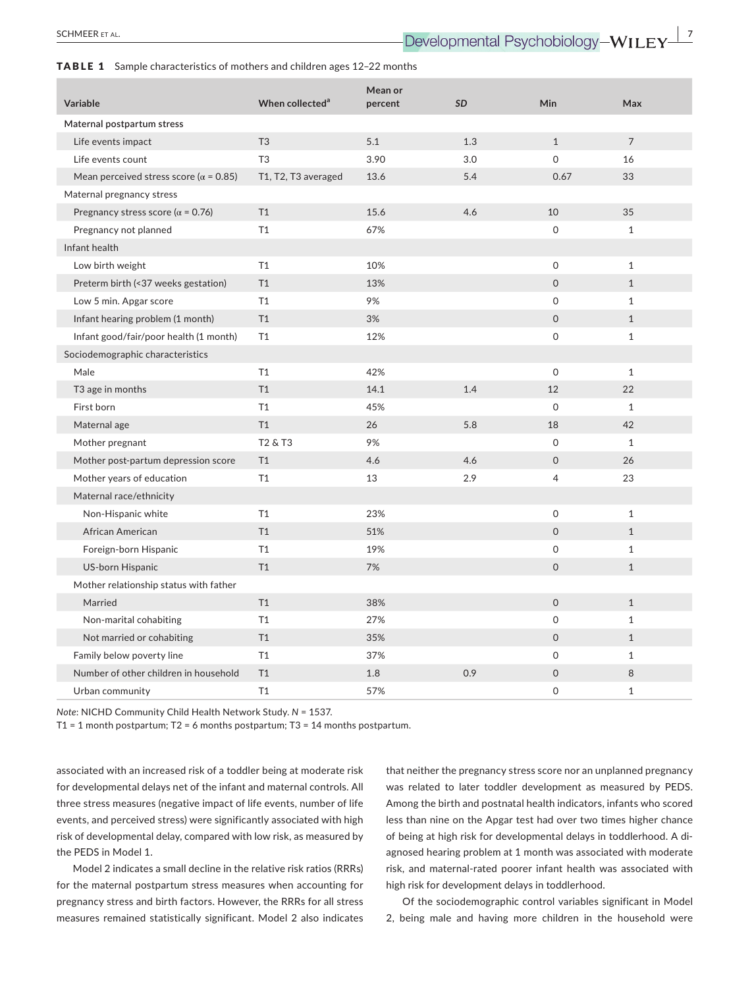#### TABLE 1 Sample characteristics of mothers and children ages 12–22 months

| Variable                                       | When collected <sup>a</sup>     | Mean or<br>percent | <b>SD</b> | <b>Min</b>     | Max            |
|------------------------------------------------|---------------------------------|--------------------|-----------|----------------|----------------|
| Maternal postpartum stress                     |                                 |                    |           |                |                |
| Life events impact                             | T <sub>3</sub>                  | 5.1                | 1.3       | $\mathbf{1}$   | $\overline{7}$ |
| Life events count                              | T <sub>3</sub>                  | 3.90               | 3.0       | $\Omega$       | 16             |
| Mean perceived stress score ( $\alpha$ = 0.85) | T1, T2, T3 averaged             | 13.6               | 5.4       | 0.67           | 33             |
| Maternal pregnancy stress                      |                                 |                    |           |                |                |
| Pregnancy stress score ( $\alpha$ = 0.76)      | T1                              | 15.6               | 4.6       | 10             | 35             |
| Pregnancy not planned                          | T1                              | 67%                |           | $\mathsf{O}$   | $\mathbf{1}$   |
| Infant health                                  |                                 |                    |           |                |                |
| Low birth weight                               | T1                              | 10%                |           | $\mathbf 0$    | $\mathbf{1}$   |
| Preterm birth (<37 weeks gestation)            | T1                              | 13%                |           | $\Omega$       | $\mathbf{1}$   |
| Low 5 min. Apgar score                         | T1                              | 9%                 |           | $\mathsf{O}$   | $\mathbf{1}$   |
| Infant hearing problem (1 month)               | T1                              | 3%                 |           | $\mathbf 0$    | $\mathbf{1}$   |
| Infant good/fair/poor health (1 month)         | T1                              | 12%                |           | $\Omega$       | $\mathbf{1}$   |
| Sociodemographic characteristics               |                                 |                    |           |                |                |
| Male                                           | T1                              | 42%                |           | $\mathbf{0}$   | $\mathbf{1}$   |
| T <sub>3</sub> age in months                   | T1                              | 14.1               | 1.4       | 12             | 22             |
| First born                                     | T1                              | 45%                |           | $\Omega$       | $\mathbf{1}$   |
| Maternal age                                   | T1                              | 26                 | 5.8       | 18             | 42             |
| Mother pregnant                                | T <sub>2</sub> & T <sub>3</sub> | 9%                 |           | $\Omega$       | $\mathbf{1}$   |
| Mother post-partum depression score            | T1                              | 4.6                | 4.6       | $\mathbf 0$    | 26             |
| Mother years of education                      | T1                              | 13                 | 2.9       | $\overline{4}$ | 23             |
| Maternal race/ethnicity                        |                                 |                    |           |                |                |
| Non-Hispanic white                             | T1                              | 23%                |           | 0              | $\mathbf{1}$   |
| African American                               | T1                              | 51%                |           | $\mathbf 0$    | $\mathbf{1}$   |
| Foreign-born Hispanic                          | T1                              | 19%                |           | $\Omega$       | $\mathbf{1}$   |
| <b>US-born Hispanic</b>                        | T1                              | 7%                 |           | $\mathbf 0$    | $\mathbf{1}$   |
| Mother relationship status with father         |                                 |                    |           |                |                |
| Married                                        | T1                              | 38%                |           | $\Omega$       | $\mathbf{1}$   |
| Non-marital cohabiting                         | T1                              | 27%                |           | $\mathsf{O}$   | $\mathbf{1}$   |
| Not married or cohabiting                      | T1                              | 35%                |           | $\mathbf 0$    | $\mathbf{1}$   |
| Family below poverty line                      | T1                              | 37%                |           | $\mathbf 0$    | $\mathbf{1}$   |
| Number of other children in household          | T1                              | 1.8                | 0.9       | $\Omega$       | 8              |
| Urban community                                | T1                              | 57%                |           | 0              | $\mathbf{1}$   |

*Note*: NICHD Community Child Health Network Study. *N* = 1537.

T1 = 1 month postpartum; T2 = 6 months postpartum; T3 = 14 months postpartum.

associated with an increased risk of a toddler being at moderate risk for developmental delays net of the infant and maternal controls. All three stress measures (negative impact of life events, number of life events, and perceived stress) were significantly associated with high risk of developmental delay, compared with low risk, as measured by the PEDS in Model 1.

Model 2 indicates a small decline in the relative risk ratios (RRRs) for the maternal postpartum stress measures when accounting for pregnancy stress and birth factors. However, the RRRs for all stress measures remained statistically significant. Model 2 also indicates that neither the pregnancy stress score nor an unplanned pregnancy was related to later toddler development as measured by PEDS. Among the birth and postnatal health indicators, infants who scored less than nine on the Apgar test had over two times higher chance of being at high risk for developmental delays in toddlerhood. A di‐ agnosed hearing problem at 1 month was associated with moderate risk, and maternal‐rated poorer infant health was associated with high risk for development delays in toddlerhood.

Of the sociodemographic control variables significant in Model 2, being male and having more children in the household were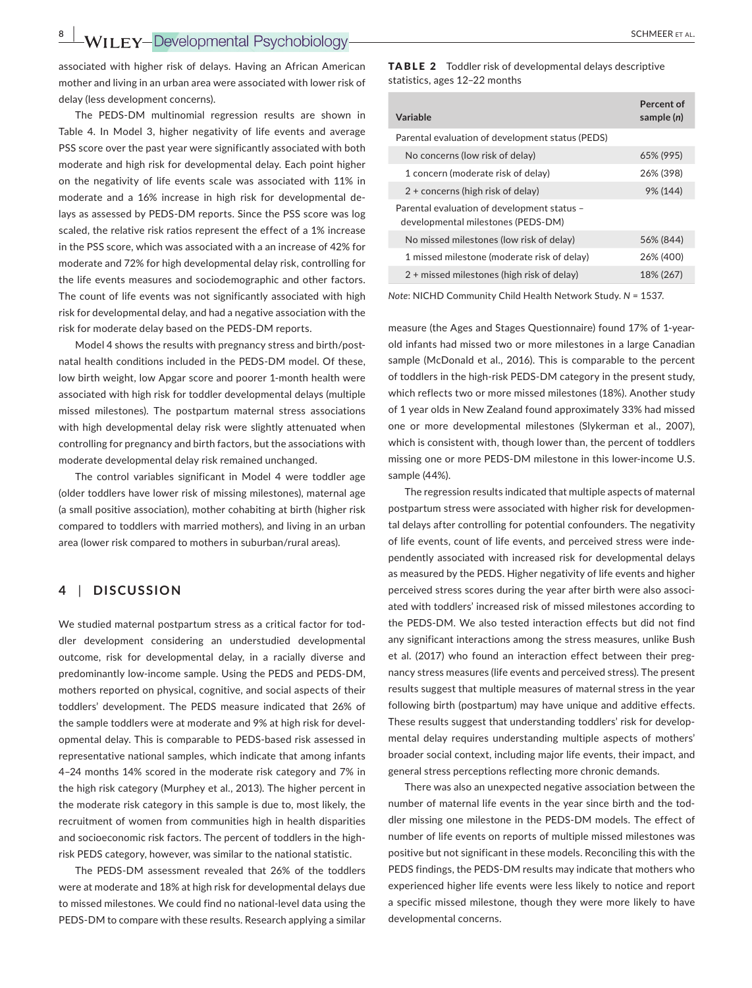**8 |**  SCHMEER et al.

associated with higher risk of delays. Having an African American mother and living in an urban area were associated with lower risk of delay (less development concerns).

The PEDS‐DM multinomial regression results are shown in Table 4. In Model 3, higher negativity of life events and average PSS score over the past year were significantly associated with both moderate and high risk for developmental delay. Each point higher on the negativity of life events scale was associated with 11% in moderate and a 16% increase in high risk for developmental de‐ lays as assessed by PEDS‐DM reports. Since the PSS score was log scaled, the relative risk ratios represent the effect of a 1% increase in the PSS score, which was associated with a an increase of 42% for moderate and 72% for high developmental delay risk, controlling for the life events measures and sociodemographic and other factors. The count of life events was not significantly associated with high risk for developmental delay, and had a negative association with the risk for moderate delay based on the PEDS‐DM reports.

Model 4 shows the results with pregnancy stress and birth/postnatal health conditions included in the PEDS‐DM model. Of these, low birth weight, low Apgar score and poorer 1‐month health were associated with high risk for toddler developmental delays (multiple missed milestones). The postpartum maternal stress associations with high developmental delay risk were slightly attenuated when controlling for pregnancy and birth factors, but the associations with moderate developmental delay risk remained unchanged.

The control variables significant in Model 4 were toddler age (older toddlers have lower risk of missing milestones), maternal age (a small positive association), mother cohabiting at birth (higher risk compared to toddlers with married mothers), and living in an urban area (lower risk compared to mothers in suburban/rural areas).

# **4** | **DISCUSSION**

We studied maternal postpartum stress as a critical factor for toddler development considering an understudied developmental outcome, risk for developmental delay, in a racially diverse and predominantly low‐income sample. Using the PEDS and PEDS‐DM, mothers reported on physical, cognitive, and social aspects of their toddlers' development. The PEDS measure indicated that 26% of the sample toddlers were at moderate and 9% at high risk for devel‐ opmental delay. This is comparable to PEDS‐based risk assessed in representative national samples, which indicate that among infants 4–24 months 14% scored in the moderate risk category and 7% in the high risk category (Murphey et al., 2013). The higher percent in the moderate risk category in this sample is due to, most likely, the recruitment of women from communities high in health disparities and socioeconomic risk factors. The percent of toddlers in the highrisk PEDS category, however, was similar to the national statistic.

The PEDS‐DM assessment revealed that 26% of the toddlers were at moderate and 18% at high risk for developmental delays due to missed milestones. We could find no national‐level data using the PEDS‐DM to compare with these results. Research applying a similar

TABLE 2 Toddler risk of developmental delays descriptive statistics, ages 12–22 months

| Variable                                                                          | Percent of<br>sample (n) |
|-----------------------------------------------------------------------------------|--------------------------|
| Parental evaluation of development status (PEDS)                                  |                          |
| No concerns (low risk of delay)                                                   | 65% (995)                |
| 1 concern (moderate risk of delay)                                                | 26% (398)                |
| 2 + concerns (high risk of delay)                                                 | 9% (144)                 |
| Parental evaluation of development status -<br>developmental milestones (PEDS-DM) |                          |
| No missed milestones (low risk of delay)                                          | 56% (844)                |
| 1 missed milestone (moderate risk of delay)                                       | 26% (400)                |
| 2 + missed milestones (high risk of delay)                                        | 18% (267)                |

*Note*: NICHD Community Child Health Network Study. *N* = 1537.

measure (the Ages and Stages Questionnaire) found 17% of 1‐year‐ old infants had missed two or more milestones in a large Canadian sample (McDonald et al., 2016). This is comparable to the percent of toddlers in the high‐risk PEDS‐DM category in the present study, which reflects two or more missed milestones (18%). Another study of 1 year olds in New Zealand found approximately 33% had missed one or more developmental milestones (Slykerman et al., 2007), which is consistent with, though lower than, the percent of toddlers missing one or more PEDS‐DM milestone in this lower‐income U.S. sample (44%).

The regression results indicated that multiple aspects of maternal postpartum stress were associated with higher risk for developmen‐ tal delays after controlling for potential confounders. The negativity of life events, count of life events, and perceived stress were inde‐ pendently associated with increased risk for developmental delays as measured by the PEDS. Higher negativity of life events and higher perceived stress scores during the year after birth were also associated with toddlers' increased risk of missed milestones according to the PEDS‐DM. We also tested interaction effects but did not find any significant interactions among the stress measures, unlike Bush et al. (2017) who found an interaction effect between their pregnancy stress measures (life events and perceived stress). The present results suggest that multiple measures of maternal stress in the year following birth (postpartum) may have unique and additive effects. These results suggest that understanding toddlers' risk for develop‐ mental delay requires understanding multiple aspects of mothers' broader social context, including major life events, their impact, and general stress perceptions reflecting more chronic demands.

There was also an unexpected negative association between the number of maternal life events in the year since birth and the tod‐ dler missing one milestone in the PEDS‐DM models. The effect of number of life events on reports of multiple missed milestones was positive but not significant in these models. Reconciling this with the PEDS findings, the PEDS‐DM results may indicate that mothers who experienced higher life events were less likely to notice and report a specific missed milestone, though they were more likely to have developmental concerns.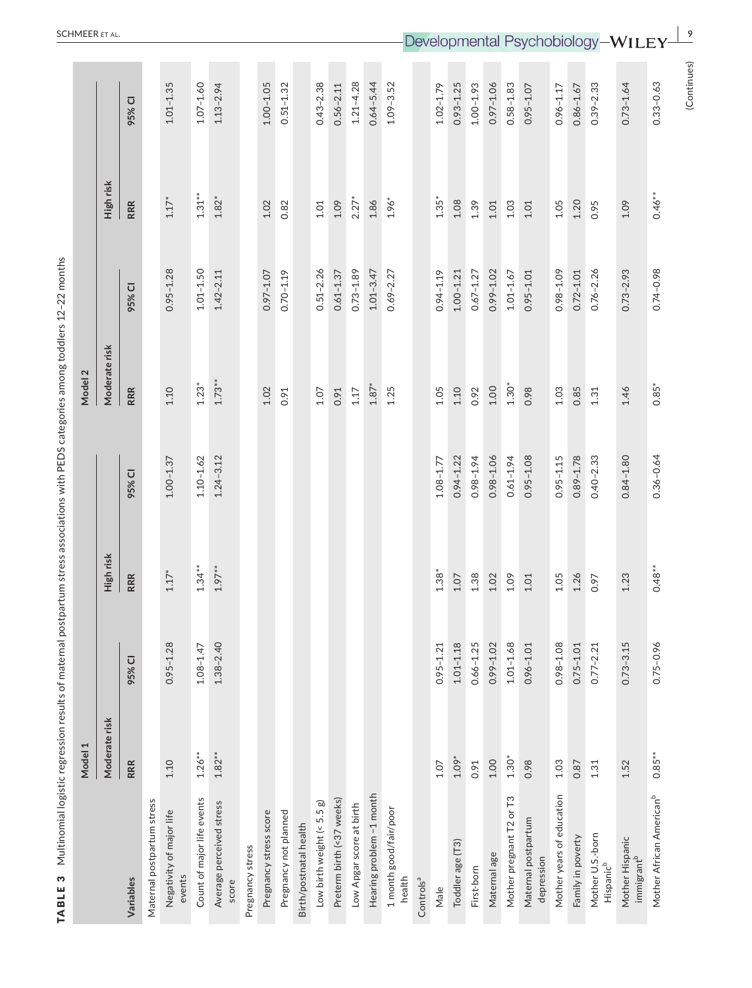| TABLE 3                                   |               |               | Multinomial logistic regression results of maternal postpartum stress associations with PEDS categories among toddlers 12-22 months |               |                    |               |            |               |
|-------------------------------------------|---------------|---------------|-------------------------------------------------------------------------------------------------------------------------------------|---------------|--------------------|---------------|------------|---------------|
|                                           | Model 1       |               |                                                                                                                                     |               | Model <sub>2</sub> |               |            |               |
|                                           | Moderate risk |               | High risk                                                                                                                           |               | Moderate risk      |               | High risk  |               |
| Variables                                 | <b>RRR</b>    | 95% CI        | <b>RRR</b>                                                                                                                          | 95% CI        | <b>RRR</b>         | 95% CI        | <b>RRR</b> | 95% CI        |
| Maternal postpartum stress                |               |               |                                                                                                                                     |               |                    |               |            |               |
| Negativity of major life<br>events        | 1.10          | $0.95 - 1.28$ | $1.17*$                                                                                                                             | $1.00 - 1.37$ | 1.10               | $0.95 - 1.28$ | $1.17*$    | $1.01 - 1.35$ |
| Count of major life events                | $1.26**$      | $1.08 - 1.47$ | $1.34***$                                                                                                                           | $1.10 - 1.62$ | $1.23*$            | $1.01 - 1.50$ | $1.31***$  | $1.07 - 1.60$ |
| Average perceived stress<br>score         | $1.82**$      | $1.38 - 2.40$ | $1.97***$                                                                                                                           | $1.24 - 3.12$ | $1.73**$           | $1.42 - 2.11$ | $1.82*$    | $1.13 - 2.94$ |
| Pregnancy stress                          |               |               |                                                                                                                                     |               |                    |               |            |               |
| Pregnancy stress score                    |               |               |                                                                                                                                     |               | 1.02               | $0.97 - 1.07$ | 1.02       | $1.00 - 1.05$ |
| Pregnancy not planned                     |               |               |                                                                                                                                     |               | 0.91               | $0.70 - 1.19$ | 0.82       | $0.51 - 1.32$ |
| Birth/postnatal health                    |               |               |                                                                                                                                     |               |                    |               |            |               |
| Low birth weight (< 5.5 g)                |               |               |                                                                                                                                     |               | 1.07               | $0.51 - 2.26$ | 1.01       | $0.43 - 2.38$ |
| Preterm birth (<37 weeks)                 |               |               |                                                                                                                                     |               | 0.91               | $0.61 - 1.37$ | 1.09       | $0.56 - 2.11$ |
| Low Apgar score at birth                  |               |               |                                                                                                                                     |               | 1.17               | $0.73 - 1.89$ | $2.27*$    | $1.21 - 4.28$ |
| Hearing problem -1 month                  |               |               |                                                                                                                                     |               | $1.87*$            | $1.01 - 3.47$ | $1.86\,$   | $0.64 - 5.44$ |
| 1 month good/fair/poor<br>health          |               |               |                                                                                                                                     |               | 1.25               | $0.69 - 2.27$ | $1.96*$    | $1.09 - 3.52$ |
| Controls <sup>a</sup>                     |               |               |                                                                                                                                     |               |                    |               |            |               |
| Male                                      | 1.07          | $0.95 - 1.21$ | $1.38*$                                                                                                                             | $1.08 - 1.77$ | 1.05               | $0.94 - 1.19$ | $1.35*$    | $1.02 - 1.79$ |
| Toddler age (T3)                          | $1.09*$       | $1.01 - 1.18$ | 1.07                                                                                                                                | $0.94 - 1.22$ | 1.10               | $1.00 - 1.21$ | 1.08       | $0.93 - 1.25$ |
| First-born                                | 0.91          | $0.66 - 1.25$ | 1.38                                                                                                                                | $0.98 - 1.94$ | 0.92               | $0.67 - 1.27$ | 1.39       | $1.00 - 1.93$ |
| Maternal age                              | 1.00          | $0.99 - 1.02$ | 1.02                                                                                                                                | $0.98 - 1.06$ | 1.00               | $0.99 - 1.02$ | 1.01       | $0.97 - 1.06$ |
| Mother pregnant T2 or T3                  | $1.30*$       | $1.01 - 1.68$ | 1.09                                                                                                                                | $0.61 - 1.94$ | $1.30*$            | $1.01 - 1.67$ | 1.03       | $0.58 - 1.83$ |
| Maternal postpartum<br>depression         | 0.98          | $0.96 - 1.01$ | 1.01                                                                                                                                | $0.95 - 1.08$ | 0.98               | $0.95 - 1.01$ | 1.01       | $0.95 - 1.07$ |
| Mother years of education                 | 1.03          | $0.98 - 1.08$ | 1.05                                                                                                                                | $0.95 - 1.15$ | 1.03               | $0.98 - 1.09$ | 1.05       | $0.96 - 1.17$ |
| Family in poverty                         | 0.87          | $0.75 - 1.01$ | 1.26                                                                                                                                | $0.89 - 1.78$ | 0.85               | $0.72 - 1.01$ | 1.20       | $0.86 - 1.67$ |
| Mother U.S.-born<br>Hispanic <sup>b</sup> | $1.31\,$      | $0.77 - 2.21$ | 0.97                                                                                                                                | $0.40 - 2.33$ | $1.31\,$           | $0.76 - 2.26$ | 0.95       | $0.39 - 2.33$ |
| Mother Hispanic<br>immigrant <sup>b</sup> | 1.52          | $0.73 - 3.15$ | 1.23                                                                                                                                | $0.84 - 1.80$ | 1.46               | $0.73 - 2.93$ | 1.09       | $0.73 - 1.64$ |
| Mother African American <sup>b</sup>      | $0.85**$      | $0.75 - 0.96$ | $0.48**$                                                                                                                            | $0.36 - 0.64$ | $0.85*$            | $0.74 - 0.98$ | $0.46**$   | $0.33 - 0.63$ |
|                                           |               |               |                                                                                                                                     |               |                    |               |            | (Continues)   |

**SCHMEER** ET AL.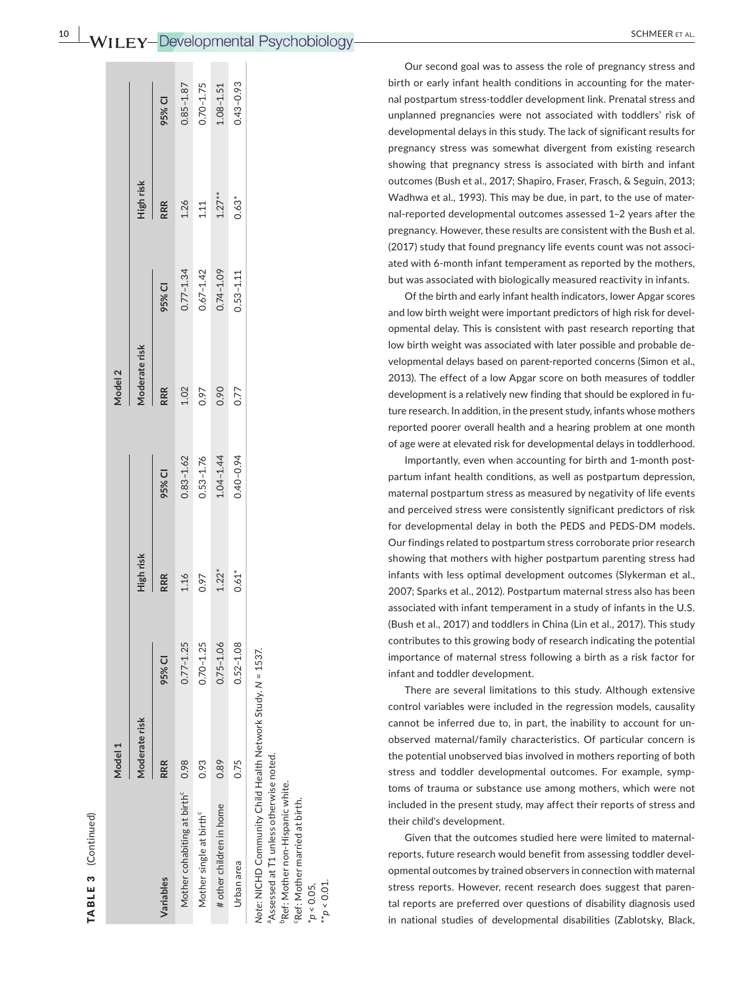$0.43 - 0.93$  $1.08 - 1.51$ 

 $1.27***$  $0.63*$ 

 $0.74 - 1.09$ 

 $0.53 - 1.11$ 

 $0.85 - 1.87$  $0.70 - 1.75$ 

1.26  $1.11$ 

 $0.77 - 1.34$  $0.67 - 1.42$ 

95% CI

RRR

High risk

Our second goal was to assess the role of pregnancy stress and birth or early infant health conditions in accounting for the mater ‐ nal postpartum stress‐toddler development link. Prenatal stress and unplanned pregnancies were not associated with toddlers' risk of developmental delays in this study. The lack of significant results for pregnancy stress was somewhat divergent from existing research showing that pregnancy stress is associated with birth and infant outcomes (Bush et al., 2017; Shapiro, Fraser, Frasch, & Seguin, 2013; Wadhwa et al., 1993). This may be due, in part, to the use of mater ‐ nal‐reported developmental outcomes assessed 1–2 years after the pregnancy. However, these results are consistent with the Bush et al. (2017) study that found pregnancy life events count was not associ ‐ ated with 6‐month infant temperament as reported by the mothers, but was associated with biologically measured reactivity in infants.

Of the birth and early infant health indicators, lower Apgar scores and low birth weight were important predictors of high risk for devel ‐ opmental delay. This is consistent with past research reporting that low birth weight was associated with later possible and probable de ‐ velopmental delays based on parent‐reported concerns (Simon et al., 2013). The effect of a low Apgar score on both measures of toddler development is a relatively new finding that should be explored in fu ‐ ture research. In addition, in the present study, infants whose mothers reported poorer overall health and a hearing problem at one month of age were at elevated risk for developmental delays in toddlerhood.

Importantly, even when accounting for birth and 1‐month post ‐ partum infant health conditions, as well as postpartum depression, maternal postpartum stress as measured by negativity of life events and perceived stress were consistently significant predictors of risk for developmental delay in both the PEDS and PEDS‐DM models. Our findings related to postpartum stress corroborate prior research showing that mothers with higher postpartum parenting stress had infants with less optimal development outcomes (Slykerman et al., 2007; Sparks et al., 2012). Postpartum maternal stress also has been associated with infant temperament in a study of infants in the U.S. (Bush et al., 2017) and toddlers in China (Lin et al., 2017). This study contributes to this growing body of research indicating the potential importance of maternal stress following a birth as a risk factor for infant and toddler development.

There are several limitations to this study. Although extensive control variables were included in the regression models, causality cannot be inferred due to, in part, the inability to account for un ‐ observed maternal/family characteristics. Of particular concern is the potential unobserved bias involved in mothers reporting of both stress and toddler developmental outcomes. For example, symp ‐ toms of trauma or substance use among mothers, which were not included in the present study, may affect their reports of stress and their child's development.

Given that the outcomes studied here were limited to maternal‐ reports, future research would benefit from assessing toddler devel ‐ opmental outcomes by trained observers in connection with maternal stress reports. However, recent research does suggest that paren ‐ tal reports are preferred over questions of disability diagnosis used in national studies of developmental disabilities (Zablotsky, Black,

**RRR 95% CI RRR 95% CI RRR 95% CI RRR 95% CI Moderate risk High risk Moderate risk High risk** 95% CI Moderate risk Model 2 **Model 1 Model 2 RRR** 95% CI **High risk** RRR 95% CI Moderate risk Vlodel 1 RRR Variables **Variables**

TABLE 3 (Continued)

 $\infty$ 

TABLE

(Continued)

Mother cohabiting at birth<sup>c</sup> 0.98 0.98 0.98 1.16 0.77–1.25 1.16 0.83–1.62 1.02 1.26 1.26 1.26 1.26 1.26 1.87–1.87 Mother single at birth<sup>c</sup> 0.70–1.15 0.93 0.93 0.97 0.9742 0.97 0.9753–1.75 0.97 0.975 0.977 0.9742 1.11 0.70–1.75 # other children in home 0.89 0.75–1.06 1.22\* 1.04–1.44 0.90 0.74–1.09 1.27\*\* 1.08–1.51

 $1.16$ 0.97

 $0.70 - 1.25$  $0.77 - 1.25$ 

> 0.93 0.89

> # other children in home Mother single at birth<sup>c</sup>

0.98

Mother cohabiting at birth<sup>c</sup>

 $0.83 - 1.62$  $0.53 - 1.76$ 

1.02

0.97 0.90 0.77

 $1.04 - 1.44$ 

 $1.22*$ 

 $0.75 - 1.06$ 

Urbanarea 0.75 0.75 0.75 0.77 0.52+1.0.52+1.0.53=1.0.08 0.77-1.0.53+ 0.62\* 0.62\* 0.62\* 0.77 0.75 0.40-0.94  $0.61*$  $0.52 - 1.08$ Note: NICHD Community Child Health Network Study. N = 1537. *Note*: NICHD Community Child Health Network Study. *N* = 1537. 0.75 Urban area

aAssessed at T1 unless otherwise noted. Assessed at T1 unless otherwise noted.

bRef: Mother non‐Hispanic white. Pef: Mother non-Hispanic white.

cRef: Mother married at birth. 'Ref: Mother married at birth.

\**p* < 0.05,

\*\**p* < 0.01.

 $\texttt{LO.O} > d_\ast,$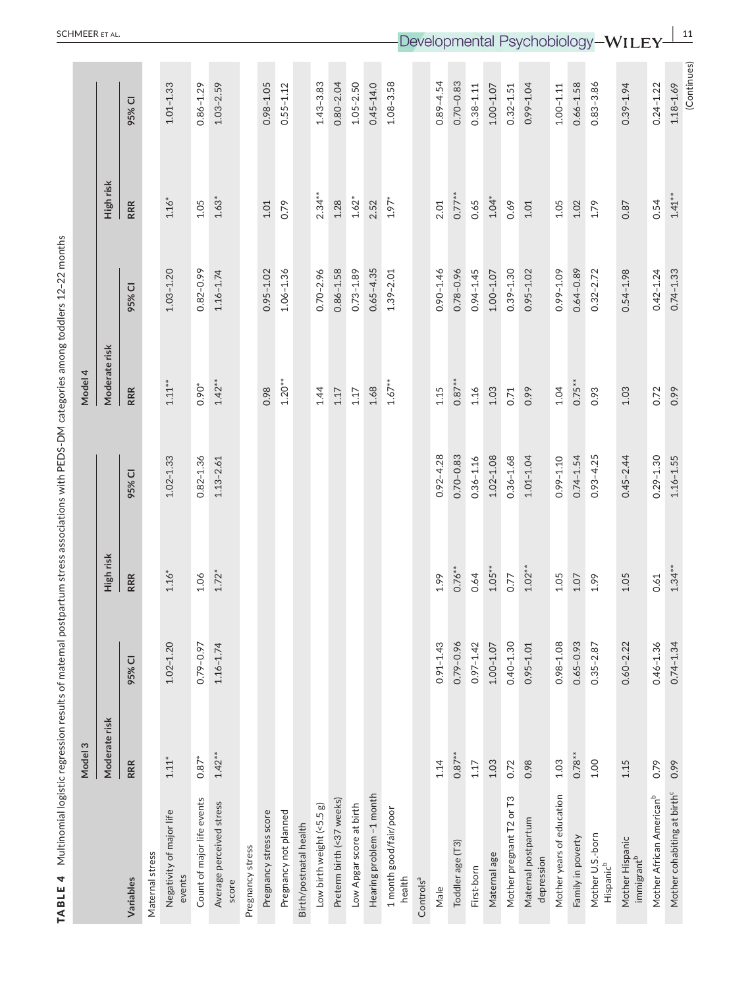| TABLE 4 Multinomial logistic regression results of maternal postpartum stress associations with PEDS-DM categories among toddlers 12-22 months |               |               |            |               |               |               |            |               |
|------------------------------------------------------------------------------------------------------------------------------------------------|---------------|---------------|------------|---------------|---------------|---------------|------------|---------------|
|                                                                                                                                                | Model 3       |               |            |               | Model 4       |               |            |               |
|                                                                                                                                                | Moderate risk |               | High risk  |               | Moderate risk |               | High risk  |               |
| Variables                                                                                                                                      | RRR           | 95% CI        | <b>RRR</b> | 95% CI        | <b>RRR</b>    | 95% CI        | <b>RRR</b> | 95% CI        |
| Maternal stress                                                                                                                                |               |               |            |               |               |               |            |               |
| Negativity of major life<br>events                                                                                                             | $1.11*$       | $1.02 - 1.20$ | $1.16*$    | $1.02 - 1.33$ | $1.11***$     | $1.03 - 1.20$ | $1.16*$    | $1.01 - 1.33$ |
| Count of major life events                                                                                                                     | $0.87*$       | 0.79-0.97     | 1.06       | $0.82 - 1.36$ | 0.90*         | $0.82 - 0.99$ | 1.05       | $0.86 - 1.29$ |
| Average perceived stress<br>score                                                                                                              | $1.42**$      | $1.16 - 1.74$ | $1.72*$    | $1.13 - 2.61$ | $1.42**$      | $1.16 - 1.74$ | $1.63*$    | $1.03 - 2.59$ |
| Pregnancy stress                                                                                                                               |               |               |            |               |               |               |            |               |
| Pregnancy stress score                                                                                                                         |               |               |            |               | 0.98          | $0.95 - 1.02$ | 1.01       | $0.98 - 1.05$ |
| Pregnancy not planned                                                                                                                          |               |               |            |               | $1.20**$      | $1.06 - 1.36$ | 0.79       | $0.55 - 1.12$ |
| Birth/postnatal health                                                                                                                         |               |               |            |               |               |               |            |               |
| Low birth weight (<5.5 g)                                                                                                                      |               |               |            |               | 1.44          | $0.70 - 2.96$ | $2.34***$  | $1.43 - 3.83$ |
| Preterm birth (<37 weeks)                                                                                                                      |               |               |            |               | 1.17          | $0.86 - 1.58$ | 1.28       | $0.80 - 2.04$ |
| Low Apgar score at birth                                                                                                                       |               |               |            |               | $1.17\,$      | $0.73 - 1.89$ | $1.62*$    | $1.05 - 2.50$ |
| Hearing problem -1 month                                                                                                                       |               |               |            |               | 1.68          | $0.65 - 4.35$ | 2.52       | $0.45 - 14.0$ |
| 1 month good/fair/poor<br>health                                                                                                               |               |               |            |               | $1.67**$      | $1.39 - 2.01$ | $1.97*$    | $1.08 - 3.58$ |
| Controls <sup>a</sup>                                                                                                                          |               |               |            |               |               |               |            |               |
| Male                                                                                                                                           | 1.14          | $0.91 - 1.43$ | 1.99       | $0.92 - 4.28$ | 1.15          | $0.90 - 1.46$ | 2.01       | $0.89 - 4.54$ |
| Toddler age (T3)                                                                                                                               | $0.87**$      | $0.79 - 0.96$ | $0.76***$  | $0.70 - 0.83$ | $0.87**$      | $0.78 - 0.96$ | $0.77***$  | $0.70 - 0.83$ |
| First-born                                                                                                                                     | 1.17          | $0.97 - 1.42$ | 0.64       | $0.36 - 1.16$ | 1.16          | $0.94 - 1.45$ | 0.65       | $0.38 - 1.11$ |
| Maternal age                                                                                                                                   | 1.03          | $1.00 - 1.07$ | $1.05***$  | $1.02 - 1.08$ | 1.03          | $1.00 - 1.07$ | $1.04*$    | $1.00 - 1.07$ |
| Mother pregnant T2 or T3                                                                                                                       | 0.72          | $0.40 - 1.30$ | 0.77       | $0.36 - 1.68$ | 0.71          | $0.39 - 1.30$ | 0.69       | $0.32 - 1.51$ |
| Maternal postpartum<br>depression                                                                                                              | 0.98          | $0.95 - 1.01$ | $1.02***$  | $1.01 - 1.04$ | 0.99          | $0.95 - 1.02$ | 1.01       | $0.99 - 1.04$ |
| Mother years of education                                                                                                                      | 1.03          | $0.98 - 1.08$ | 1.05       | $0.99 - 1.10$ | 1.04          | 0.99-1.09     | 1.05       | $1.00 - 1.11$ |
| Family in poverty                                                                                                                              | $0.78***$     | $0.65 - 0.93$ | 1.07       | $0.74 - 1.54$ | $0.75**$      | $0.64 - 0.89$ | 1.02       | $0.66 - 1.58$ |
| Mother U.S.-born<br>Hispanic <sup>b</sup>                                                                                                      | 1.00          | $0.35 - 2.87$ | 1.99       | $0.93 - 4.25$ | 0.93          | $0.32 - 2.72$ | 1.79       | $0.83 - 3.86$ |
| Mother Hispanic<br>immigrant <sup>b</sup>                                                                                                      | 1.15          | $0.60 - 2.22$ | 1.05       | $0.45 - 2.44$ | 1.03          | $0.54 - 1.98$ | 0.87       | $0.39 - 1.94$ |
| Mother African American <sup>b</sup>                                                                                                           | 0.79          | $0.46 - 1.36$ | 0.61       | $0.29 - 1.30$ | 0.72          | $0.42 - 1.24$ | 0.54       | $0.24 - 1.22$ |
| Mother cohabiting at birth <sup>c</sup>                                                                                                        | 0.99          | $0.74 - 1.34$ | $1.34***$  | $1.16 - 1.55$ | 0.99          | $0.74 - 1.33$ | $1.41***$  | $1.18 - 1.69$ |
|                                                                                                                                                |               |               |            |               |               |               |            | (Continues)   |

**SCHMEER** ET AL. **11**<br> **Developmental Psychobiology—WII EV**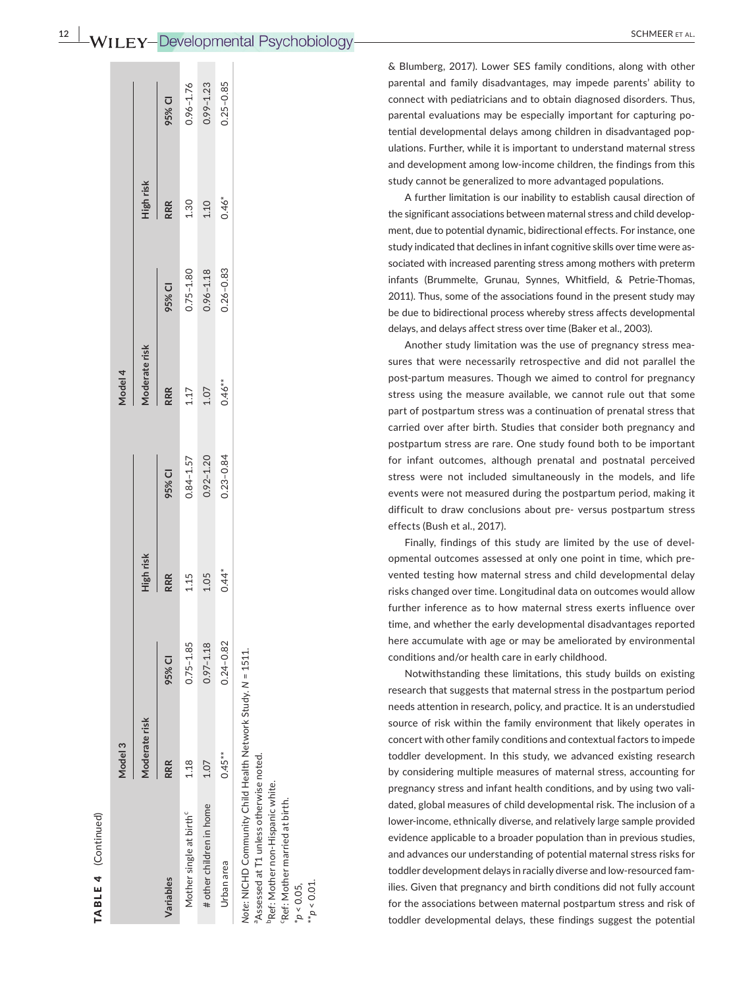| $\sim$ | $\frac{12}{12}$ WILEY-Developmental Psychobiology- | <b>SCHMEER</b> |
|--------|----------------------------------------------------|----------------|
|        |                                                    |                |

& Blumberg, 2017). Lower SES family conditions, along with other parental and family disadvantages, may impede parents' ability to connect with pediatricians and to obtain diagnosed disorders. Thus, parental evaluations may be especially important for capturing po ‐ tential developmental delays among children in disadvantaged pop ‐ ulations. Further, while it is important to understand maternal stress and development among low-income children, the findings from this study cannot be generalized to more advantaged populations.

A further limitation is our inability to establish causal direction of the significant associations between maternal stress and child develop ‐ ment, due to potential dynamic, bidirectional effects. For instance, one study indicated that declines in infant cognitive skills over time were as ‐ sociated with increased parenting stress among mothers with preterm infants (Brummelte, Grunau, Synnes, Whitfield, & Petrie‐Thomas, 2011). Thus, some of the associations found in the present study may be due to bidirectional process whereby stress affects developmental delays, and delays affect stress over time (Baker et al., 2003).

Another study limitation was the use of pregnancy stress mea ‐ sures that were necessarily retrospective and did not parallel the post-partum measures. Though we aimed to control for pregnancy stress using the measure available, we cannot rule out that some part of postpartum stress was a continuation of prenatal stress that carried over after birth. Studies that consider both pregnancy and postpartum stress are rare. One study found both to be important for infant outcomes, although prenatal and postnatal perceived stress were not included simultaneously in the models, and life events were not measured during the postpartum period, making it difficult to draw conclusions about pre‐ versus postpartum stress effects (Bush et al., 2017).

Finally, findings of this study are limited by the use of devel ‐ opmental outcomes assessed at only one point in time, which pre ‐ vented testing how maternal stress and child developmental delay risks changed over time. Longitudinal data on outcomes would allow further inference as to how maternal stress exerts influence over time, and whether the early developmental disadvantages reported here accumulate with age or may be ameliorated by environmental conditions and/or health care in early childhood.

Notwithstanding these limitations, this study builds on existing research that suggests that maternal stress in the postpartum period needs attention in research, policy, and practice. It is an understudied source of risk within the family environment that likely operates in concert with other family conditions and contextual factors to impede toddler development. In this study, we advanced existing research by considering multiple measures of maternal stress, accounting for pregnancy stress and infant health conditions, and by using two vali ‐ dated, global measures of child developmental risk. The inclusion of a lower-income, ethnically diverse, and relatively large sample provided evidence applicable to a broader population than in previous studies, and advances our understanding of potential maternal stress risks for toddler development delays in racially diverse and low‐resourced fam ‐ ilies. Given that pregnancy and birth conditions did not fully account for the associations between maternal postpartum stress and risk of toddler developmental delays, these findings suggest the potential

 $0.99 - 1.23$  $0.25 - 0.85$  $3.96 - 1.76$ # other children in home 1.07 0.97–1.18 1.05 0.92–1.20 1.07 0.96–1.18 1.10 0.99–1.23 Urbanarea 0.45\*\* 0.45\*\* 0.45\*\* 0.45\*\* 0.45\*\* 0.45\* 0.44\* 0.47\* 0.46\* 0.46\* 0.46\* 0.46\* 0.46\* 0.46\* 0.46\* 0.46\* Mother single at birthc 1.18 0.75–1.85 1.15 0.84–1.57 1.17 0.75–1.80 1.30 0.96–1.76 95% CI **RRR 95% CI RRR 95% CI RRR 95% CI RRR 95% CI** High risk **Moderate risk High risk Moderate risk High risk** 1.30  $1.10$  $0.46*$ RRR  $0.75 - 1.80$  $0.96 - 1.18$  $0.26 - 0.83$ 95% CI Moderate risk Model 4 **Model 3 Model 4**  $0.46**$ RRR 1.07 1.17  $0.92 - 1.20$  $0.23 - 0.84$  $0.84 - 1.57$ 95% CI High risk 1.05  $0.44*$ RRR 1.15  $0.75 - 1.85$  $0.97 - 1.18$  $0.24 - 0.82$ Note: NICHD Community Child Health Network Study. N = 1511. *Note*: NICHD Community Child Health Network Study. *N* = 1511. 95% CI Moderate risk Model 3  $0.45**$ aAssessed at T1 unless otherwise noted.  $1.07$ <sup>a</sup>Assessed at T1 unless otherwise noted. RRR 1.18 # other children in home Mother single at birth<sup>c</sup> Urban area Variables **Variables**

TABLE 4 (Continued)

TABLE 4

(Continued)

bRef: Mother non‐Hispanic white. PRef: Mother non-Hispanic white.

cRef: Mother married at birth. FRef: Mother married at birth.

\**p* < 0.05, \*\**p* < 0.01.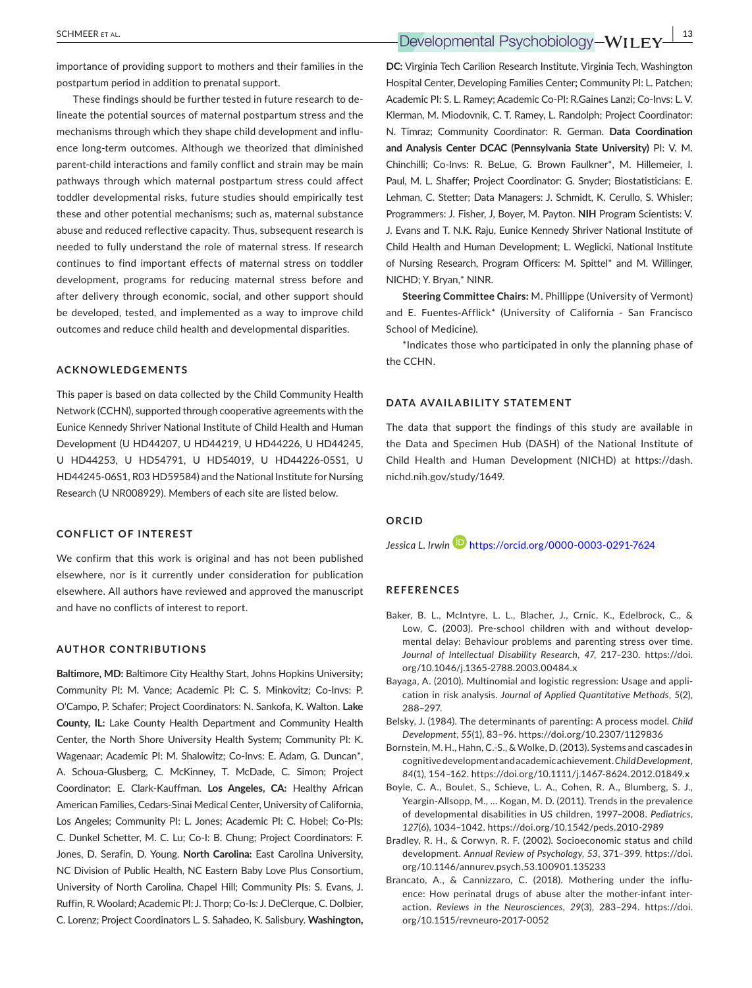importance of providing support to mothers and their families in the postpartum period in addition to prenatal support.

These findings should be further tested in future research to de‐ lineate the potential sources of maternal postpartum stress and the mechanisms through which they shape child development and influence long‐term outcomes. Although we theorized that diminished parent‐child interactions and family conflict and strain may be main pathways through which maternal postpartum stress could affect toddler developmental risks, future studies should empirically test these and other potential mechanisms; such as, maternal substance abuse and reduced reflective capacity. Thus, subsequent research is needed to fully understand the role of maternal stress. If research continues to find important effects of maternal stress on toddler development, programs for reducing maternal stress before and after delivery through economic, social, and other support should be developed, tested, and implemented as a way to improve child outcomes and reduce child health and developmental disparities.

#### **ACKNOWLEDGEMENTS**

This paper is based on data collected by the Child Community Health Network (CCHN), supported through cooperative agreements with the Eunice Kennedy Shriver National Institute of Child Health and Human Development (U HD44207, U HD44219, U HD44226, U HD44245, U HD44253, U HD54791, U HD54019, U HD44226‐05S1, U HD44245‐06S1, R03 HD59584) and the National Institute for Nursing Research (U NR008929). Members of each site are listed below.

#### **CONFLICT OF INTEREST**

We confirm that this work is original and has not been published elsewhere, nor is it currently under consideration for publication elsewhere. All authors have reviewed and approved the manuscript and have no conflicts of interest to report.

#### **AUTHOR CONTRIBUTIONS**

**Baltimore, MD:** Baltimore City Healthy Start, Johns Hopkins University**;** Community PI: M. Vance; Academic PI: C. S. Minkovitz; Co‐Invs: P. O'Campo, P. Schafer; Project Coordinators: N. Sankofa, K. Walton. **Lake County, IL:** Lake County Health Department and Community Health Center, the North Shore University Health System**;** Community PI: K. Wagenaar; Academic PI: M. Shalowitz; Co-Invs: E. Adam, G. Duncan\*, A. Schoua‐Glusberg, C. McKinney, T. McDade, C. Simon; Project Coordinator: E. Clark‐Kauffman. **Los Angeles, CA:** Healthy African American Families, Cedars‐Sinai Medical Center, University of California, Los Angeles; Community PI: L. Jones; Academic PI: C. Hobel; Co‐PIs: C. Dunkel Schetter, M. C. Lu; Co‐I: B. Chung; Project Coordinators: F. Jones, D. Serafin, D. Young. **North Carolina:** East Carolina University, NC Division of Public Health, NC Eastern Baby Love Plus Consortium, University of North Carolina, Chapel Hill; Community PIs: S. Evans, J. Ruffin, R. Woolard; Academic PI: J. Thorp; Co‐Is: J. DeClerque, C. Dolbier, C. Lorenz; Project Coordinators L. S. Sahadeo, K. Salisbury. **Washington,** 

 **SCHMEER** ET AL.  **13**<br> **Developmental Psychobiology-WILEY**  $\frac{13}{2}$ 

**DC:** Virginia Tech Carilion Research Institute, Virginia Tech, Washington Hospital Center, Developing Families Center**;** Community PI: L. Patchen; Academic PI: S. L. Ramey; Academic Co-PI: R.Gaines Lanzi; Co-Invs: L. V. Klerman, M. Miodovnik, C. T. Ramey, L. Randolph; Project Coordinator: N. Timraz; Community Coordinator: R. German. **Data Coordination and Analysis Center DCAC (Pennsylvania State University)** PI: V. M. Chinchilli; Co‐Invs: R. BeLue, G. Brown Faulkner\*, M. Hillemeier, I. Paul, M. L. Shaffer; Project Coordinator: G. Snyder; Biostatisticians: E. Lehman, C. Stetter; Data Managers: J. Schmidt, K. Cerullo, S. Whisler; Programmers: J. Fisher, J, Boyer, M. Payton. **NIH** Program Scientists: V. J. Evans and T. N.K. Raju, Eunice Kennedy Shriver National Institute of Child Health and Human Development; L. Weglicki, National Institute of Nursing Research, Program Officers: M. Spittel\* and M. Willinger, NICHD; Y. Bryan,\* NINR.

**Steering Committee Chairs:** M. Phillippe (University of Vermont) and E. Fuentes‐Afflick\* (University of California ‐ San Francisco School of Medicine).

\*Indicates those who participated in only the planning phase of the CCHN.

#### **DATA AVAILABILITY STATEMENT**

The data that support the findings of this study are available in the Data and Specimen Hub (DASH) of the National Institute of Child Health and Human Development (NICHD) at [https://dash.](https://dash.nichd.nih.gov/study/1649) [nichd.nih.gov/study/1649.](https://dash.nichd.nih.gov/study/1649)

#### **ORCID**

*Jessica L. Irwi[n](https://orcid.org/0000-0003-0291-7624)* <https://orcid.org/0000-0003-0291-7624>

#### **REFERENCES**

- Baker, B. L., McIntyre, L. L., Blacher, J., Crnic, K., Edelbrock, C., & Low, C. (2003). Pre-school children with and without developmental delay: Behaviour problems and parenting stress over time. *Journal of Intellectual Disability Research*, *47*, 217–230. [https://doi.](https://doi.org/10.1046/j.1365-2788.2003.00484.x) [org/10.1046/j.1365-2788.2003.00484.x](https://doi.org/10.1046/j.1365-2788.2003.00484.x)
- Bayaga, A. (2010). Multinomial and logistic regression: Usage and appli‐ cation in risk analysis. *Journal of Applied Quantitative Methods*, *5*(2), 288–297.
- Belsky, J. (1984). The determinants of parenting: A process model. *Child Development*, *55*(1), 83–96. <https://doi.org/10.2307/1129836>
- Bornstein, M. H., Hahn, C.‐S., & Wolke, D. (2013). Systems and cascades in cognitive development and academic achievement. *Child Development*, *84*(1), 154–162.<https://doi.org/10.1111/j.1467-8624.2012.01849.x>
- Boyle, C. A., Boulet, S., Schieve, L. A., Cohen, R. A., Blumberg, S. J., Yeargin‐Allsopp, M., … Kogan, M. D. (2011). Trends in the prevalence of developmental disabilities in US children, 1997–2008. *Pediatrics*, *127*(6), 1034–1042.<https://doi.org/10.1542/peds.2010-2989>
- Bradley, R. H., & Corwyn, R. F. (2002). Socioeconomic status and child development. *Annual Review of Psychology*, *53*, 371–399. [https://doi.](https://doi.org/10.1146/annurev.psych.53.100901.135233) [org/10.1146/annurev.psych.53.100901.135233](https://doi.org/10.1146/annurev.psych.53.100901.135233)
- Brancato, A., & Cannizzaro, C. (2018). Mothering under the influ‐ ence: How perinatal drugs of abuse alter the mother‐infant inter‐ action. *Reviews in the Neurosciences*, *29*(3), 283–294. [https://doi.](https://doi.org/10.1515/revneuro-2017-0052) [org/10.1515/revneuro-2017-0052](https://doi.org/10.1515/revneuro-2017-0052)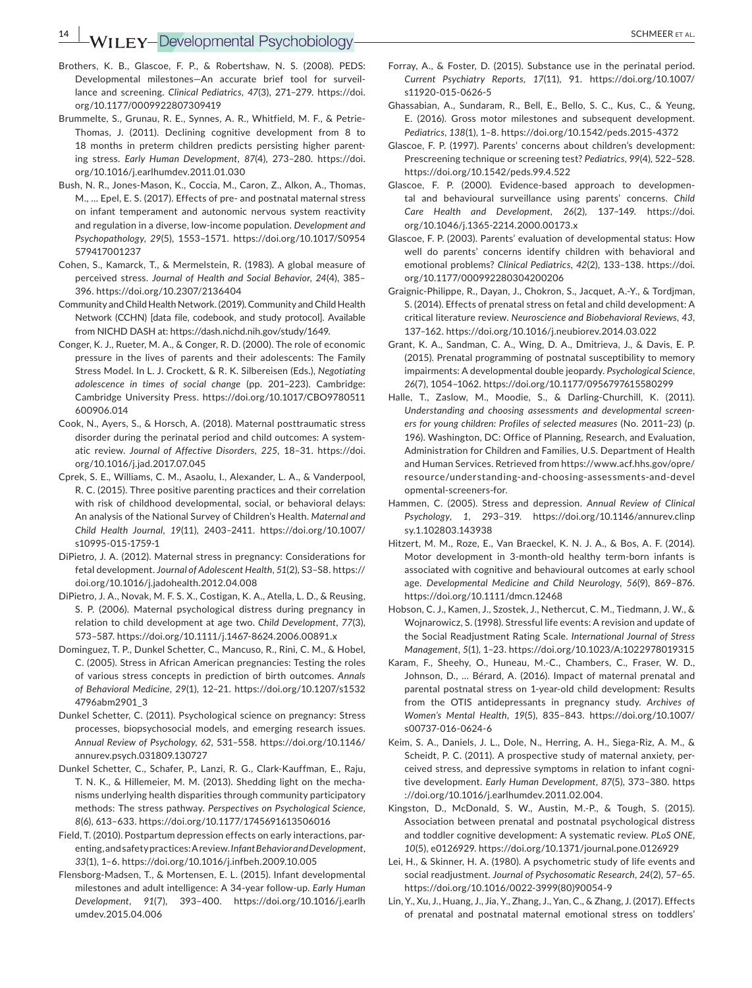- Brothers, K. B., Glascoe, F. P., & Robertshaw, N. S. (2008). PEDS: Developmental milestones—An accurate brief tool for surveil‐ lance and screening. *Clinical Pediatrics*, *47*(3), 271–279. [https://doi.](https://doi.org/10.1177/0009922807309419) [org/10.1177/0009922807309419](https://doi.org/10.1177/0009922807309419)
- Brummelte, S., Grunau, R. E., Synnes, A. R., Whitfield, M. F., & Petrie‐ Thomas, J. (2011). Declining cognitive development from 8 to 18 months in preterm children predicts persisting higher parenting stress. *Early Human Development*, *87*(4), 273–280. [https://doi.](https://doi.org/10.1016/j.earlhumdev.2011.01.030) [org/10.1016/j.earlhumdev.2011.01.030](https://doi.org/10.1016/j.earlhumdev.2011.01.030)
- Bush, N. R., Jones‐Mason, K., Coccia, M., Caron, Z., Alkon, A., Thomas, M., … Epel, E. S. (2017). Effects of pre‐ and postnatal maternal stress on infant temperament and autonomic nervous system reactivity and regulation in a diverse, low‐income population. *Development and Psychopathology*, *29*(5), 1553–1571. [https://doi.org/10.1017/S0954](https://doi.org/10.1017/S0954579417001237) [579417001237](https://doi.org/10.1017/S0954579417001237)
- Cohen, S., Kamarck, T., & Mermelstein, R. (1983). A global measure of perceived stress. *Journal of Health and Social Behavior*, *24*(4), 385– 396.<https://doi.org/10.2307/2136404>
- Community and Child Health Network. (2019). Community and Child Health Network (CCHN) [data file, codebook, and study protocol]. Available from NICHD DASH at: [https://dash.nichd.nih.gov/study/1649.](https://dash.nichd.nih.gov/study/1649)
- Conger, K. J., Rueter, M. A., & Conger, R. D. (2000). The role of economic pressure in the lives of parents and their adolescents: The Family Stress Model. In L. J. Crockett, & R. K. Silbereisen (Eds.), *Negotiating adolescence in times of social change* (pp. 201–223). Cambridge: Cambridge University Press. [https://doi.org/10.1017/CBO9780511](https://doi.org/10.1017/CBO9780511600906.014) [600906.014](https://doi.org/10.1017/CBO9780511600906.014)
- Cook, N., Ayers, S., & Horsch, A. (2018). Maternal posttraumatic stress disorder during the perinatal period and child outcomes: A system‐ atic review. *Journal of Affective Disorders*, *225*, 18–31. [https://doi.](https://doi.org/10.1016/j.jad.2017.07.045) [org/10.1016/j.jad.2017.07.045](https://doi.org/10.1016/j.jad.2017.07.045)
- Cprek, S. E., Williams, C. M., Asaolu, I., Alexander, L. A., & Vanderpool, R. C. (2015). Three positive parenting practices and their correlation with risk of childhood developmental, social, or behavioral delays: An analysis of the National Survey of Children's Health. *Maternal and Child Health Journal*, *19*(11), 2403–2411. [https://doi.org/10.1007/](https://doi.org/10.1007/s10995-015-1759-1) [s10995-015-1759-1](https://doi.org/10.1007/s10995-015-1759-1)
- DiPietro, J. A. (2012). Maternal stress in pregnancy: Considerations for fetal development. *Journal of Adolescent Health*, *51*(2), S3–S8. [https://](https://doi.org/10.1016/j.jadohealth.2012.04.008) [doi.org/10.1016/j.jadohealth.2012.04.008](https://doi.org/10.1016/j.jadohealth.2012.04.008)
- DiPietro, J. A., Novak, M. F. S. X., Costigan, K. A., Atella, L. D., & Reusing, S. P. (2006). Maternal psychological distress during pregnancy in relation to child development at age two. *Child Development*, *77*(3), 573–587. <https://doi.org/10.1111/j.1467-8624.2006.00891.x>
- Dominguez, T. P., Dunkel Schetter, C., Mancuso, R., Rini, C. M., & Hobel, C. (2005). Stress in African American pregnancies: Testing the roles of various stress concepts in prediction of birth outcomes. *Annals of Behavioral Medicine*, *29*(1), 12–21. [https://doi.org/10.1207/s1532](https://doi.org/10.1207/s15324796abm2901_3) [4796abm2901\\_3](https://doi.org/10.1207/s15324796abm2901_3)
- Dunkel Schetter, C. (2011). Psychological science on pregnancy: Stress processes, biopsychosocial models, and emerging research issues. *Annual Review of Psychology*, *62*, 531–558. [https://doi.org/10.1146/](https://doi.org/10.1146/annurev.psych.031809.130727) [annurev.psych.031809.130727](https://doi.org/10.1146/annurev.psych.031809.130727)
- Dunkel Schetter, C., Schafer, P., Lanzi, R. G., Clark‐Kauffman, E., Raju, T. N. K., & Hillemeier, M. M. (2013). Shedding light on the mecha‐ nisms underlying health disparities through community participatory methods: The stress pathway. *Perspectives on Psychological Science*, *8*(6), 613–633.<https://doi.org/10.1177/1745691613506016>
- Field, T. (2010). Postpartum depression effects on early interactions, par‐ enting, and safety practices: A review. *Infant Behavior and Development*, *33*(1), 1–6. <https://doi.org/10.1016/j.infbeh.2009.10.005>
- Flensborg‐Madsen, T., & Mortensen, E. L. (2015). Infant developmental milestones and adult intelligence: A 34‐year follow‐up. *Early Human Development*, *91*(7), 393–400. [https://doi.org/10.1016/j.earlh](https://doi.org/10.1016/j.earlhumdev.2015.04.006) [umdev.2015.04.006](https://doi.org/10.1016/j.earlhumdev.2015.04.006)
- Forray, A., & Foster, D. (2015). Substance use in the perinatal period. *Current Psychiatry Reports*, *17*(11), 91. [https://doi.org/10.1007/](https://doi.org/10.1007/s11920-015-0626-5) [s11920-015-0626-5](https://doi.org/10.1007/s11920-015-0626-5)
- Ghassabian, A., Sundaram, R., Bell, E., Bello, S. C., Kus, C., & Yeung, E. (2016). Gross motor milestones and subsequent development. *Pediatrics*, *138*(1), 1–8.<https://doi.org/10.1542/peds.2015-4372>
- Glascoe, F. P. (1997). Parents' concerns about children's development: Prescreening technique or screening test? *Pediatrics*, *99*(4), 522–528. <https://doi.org/10.1542/peds.99.4.522>
- Glascoe, F. P. (2000). Evidence‐based approach to developmen‐ tal and behavioural surveillance using parents' concerns. *Child Care Health and Development*, *26*(2), 137–149. [https://doi.](https://doi.org/10.1046/j.1365-2214.2000.00173.x) [org/10.1046/j.1365-2214.2000.00173.x](https://doi.org/10.1046/j.1365-2214.2000.00173.x)
- Glascoe, F. P. (2003). Parents' evaluation of developmental status: How well do parents' concerns identify children with behavioral and emotional problems? *Clinical Pediatrics*, *42*(2), 133–138. [https://doi.](https://doi.org/10.1177/000992280304200206) [org/10.1177/000992280304200206](https://doi.org/10.1177/000992280304200206)
- Graignic‐Philippe, R., Dayan, J., Chokron, S., Jacquet, A.‐Y., & Tordjman, S. (2014). Effects of prenatal stress on fetal and child development: A critical literature review. *Neuroscience and Biobehavioral Reviews*, *43*, 137–162.<https://doi.org/10.1016/j.neubiorev.2014.03.022>
- Grant, K. A., Sandman, C. A., Wing, D. A., Dmitrieva, J., & Davis, E. P. (2015). Prenatal programming of postnatal susceptibility to memory impairments: A developmental double jeopardy. *Psychological Science*, *26*(7), 1054–1062.<https://doi.org/10.1177/0956797615580299>
- Halle, T., Zaslow, M., Moodie, S., & Darling‐Churchill, K. (2011). *Understanding and choosing assessments and developmental screen‐ ers for young children: Profiles of selected measures* (No. 2011–23) (p. 196). Washington, DC: Office of Planning, Research, and Evaluation, Administration for Children and Families, U.S. Department of Health and Human Services. Retrieved from [https://www.acf.hhs.gov/opre/](https://www.acf.hhs.gov/opre/resource/understanding-and-choosing-assessments-and-developmental-screeners-for) resource/under [standing-and-choosing-assessments-and-devel](https://www.acf.hhs.gov/opre/resource/understanding-and-choosing-assessments-and-developmental-screeners-for) [opmental-screeners-for](https://www.acf.hhs.gov/opre/resource/understanding-and-choosing-assessments-and-developmental-screeners-for).
- Hammen, C. (2005). Stress and depression. *Annual Review of Clinical Psychology*, *1*, 293–319. [https://doi.org/10.1146/annurev.clinp](https://doi.org/10.1146/annurev.clinpsy.1.102803.143938) [sy.1.102803.143938](https://doi.org/10.1146/annurev.clinpsy.1.102803.143938)
- Hitzert, M. M., Roze, E., Van Braeckel, K. N. J. A., & Bos, A. F. (2014). Motor development in 3‐month‐old healthy term‐born infants is associated with cognitive and behavioural outcomes at early school age. *Developmental Medicine and Child Neurology*, *56*(9), 869–876. <https://doi.org/10.1111/dmcn.12468>
- Hobson, C. J., Kamen, J., Szostek, J., Nethercut, C. M., Tiedmann, J. W., & Wojnarowicz, S. (1998). Stressful life events: A revision and update of the Social Readjustment Rating Scale. *International Journal of Stress Management*, *5*(1), 1–23.<https://doi.org/10.1023/A:1022978019315>
- Karam, F., Sheehy, O., Huneau, M.‐C., Chambers, C., Fraser, W. D., Johnson, D., … Bérard, A. (2016). Impact of maternal prenatal and parental postnatal stress on 1‐year‐old child development: Results from the OTIS antidepressants in pregnancy study. *Archives of Women's Mental Health*, *19*(5), 835–843. [https://doi.org/10.1007/](https://doi.org/10.1007/s00737-016-0624-6) [s00737-016-0624-6](https://doi.org/10.1007/s00737-016-0624-6)
- Keim, S. A., Daniels, J. L., Dole, N., Herring, A. H., Siega-Riz, A. M., & Scheidt, P. C. (2011). A prospective study of maternal anxiety, per‐ ceived stress, and depressive symptoms in relation to infant cogni‐ tive development. *Early Human Development*, *87*(5), 373–380. [https](https://doi.org/10.1016/j.earlhumdev.2011.02.004) [://doi.org/10.1016/j.earlhumdev.2011.02.004.](https://doi.org/10.1016/j.earlhumdev.2011.02.004)
- Kingston, D., McDonald, S. W., Austin, M.‐P., & Tough, S. (2015). Association between prenatal and postnatal psychological distress and toddler cognitive development: A systematic review. *PLoS ONE*, *10*(5), e0126929.<https://doi.org/10.1371/journal.pone.0126929>
- Lei, H., & Skinner, H. A. (1980). A psychometric study of life events and social readjustment. *Journal of Psychosomatic Research*, *24*(2), 57–65. [https://doi.org/10.1016/0022-3999\(80\)90054-9](https://doi.org/10.1016/0022-3999(80)90054-9)
- Lin, Y., Xu, J., Huang, J., Jia, Y., Zhang, J., Yan, C., & Zhang, J. (2017). Effects of prenatal and postnatal maternal emotional stress on toddlers'